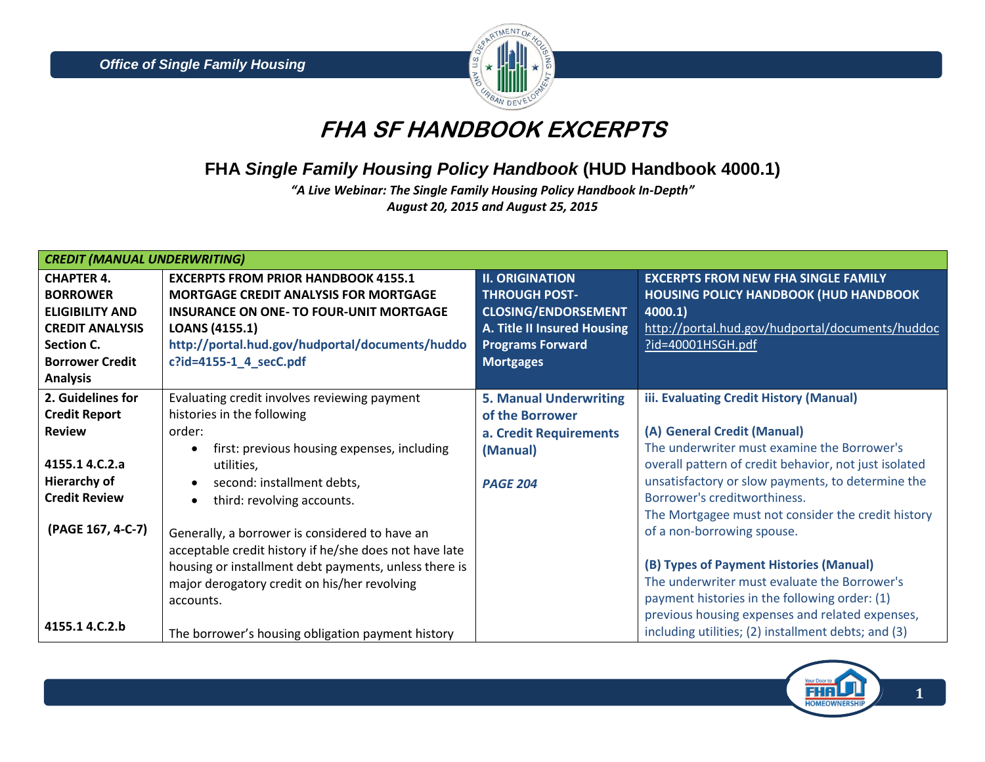

# **FHA SF HANDBOOK EXCERPTS**

## **FHA** *Single Family Housing Policy Handbook* **(HUD Handbook 4000.1)**

*"A Live Webinar: The Single Family Housing Policy Handbook In-Depth" August 20, 2015 and August 25, 2015*

| <b>CREDIT (MANUAL UNDERWRITING)</b> |                                                        |                               |                                                       |  |  |
|-------------------------------------|--------------------------------------------------------|-------------------------------|-------------------------------------------------------|--|--|
| <b>CHAPTER 4.</b>                   | <b>EXCERPTS FROM PRIOR HANDBOOK 4155.1</b>             | <b>II. ORIGINATION</b>        | <b>EXCERPTS FROM NEW FHA SINGLE FAMILY</b>            |  |  |
| <b>BORROWER</b>                     | <b>MORTGAGE CREDIT ANALYSIS FOR MORTGAGE</b>           | <b>THROUGH POST-</b>          | <b>HOUSING POLICY HANDBOOK (HUD HANDBOOK</b>          |  |  |
| <b>ELIGIBILITY AND</b>              | <b>INSURANCE ON ONE- TO FOUR-UNIT MORTGAGE</b>         | <b>CLOSING/ENDORSEMENT</b>    | 4000.1)                                               |  |  |
| <b>CREDIT ANALYSIS</b>              | <b>LOANS (4155.1)</b>                                  | A. Title II Insured Housing   | http://portal.hud.gov/hudportal/documents/huddoc      |  |  |
| Section C.                          | http://portal.hud.gov/hudportal/documents/huddo        | <b>Programs Forward</b>       | $?$ id=40001HSGH.pdf                                  |  |  |
| <b>Borrower Credit</b>              | c?id=4155-1_4_secC.pdf                                 | <b>Mortgages</b>              |                                                       |  |  |
| <b>Analysis</b>                     |                                                        |                               |                                                       |  |  |
| 2. Guidelines for                   | Evaluating credit involves reviewing payment           | <b>5. Manual Underwriting</b> | iii. Evaluating Credit History (Manual)               |  |  |
| <b>Credit Report</b>                | histories in the following                             | of the Borrower               |                                                       |  |  |
| <b>Review</b>                       | order:                                                 | a. Credit Requirements        | (A) General Credit (Manual)                           |  |  |
|                                     | first: previous housing expenses, including            | (Manual)                      | The underwriter must examine the Borrower's           |  |  |
| 4155.1 4.C.2.a                      | utilities,                                             |                               | overall pattern of credit behavior, not just isolated |  |  |
| <b>Hierarchy of</b>                 | second: installment debts,                             | <b>PAGE 204</b>               | unsatisfactory or slow payments, to determine the     |  |  |
| <b>Credit Review</b>                | third: revolving accounts.                             |                               | Borrower's creditworthiness.                          |  |  |
|                                     |                                                        |                               | The Mortgagee must not consider the credit history    |  |  |
| (PAGE 167, 4-C-7)                   | Generally, a borrower is considered to have an         |                               | of a non-borrowing spouse.                            |  |  |
|                                     | acceptable credit history if he/she does not have late |                               |                                                       |  |  |
|                                     | housing or installment debt payments, unless there is  |                               | (B) Types of Payment Histories (Manual)               |  |  |
|                                     | major derogatory credit on his/her revolving           |                               | The underwriter must evaluate the Borrower's          |  |  |
|                                     | accounts.                                              |                               | payment histories in the following order: (1)         |  |  |
|                                     |                                                        |                               | previous housing expenses and related expenses,       |  |  |
| 4155.1 4.C.2.b                      | The borrower's housing obligation payment history      |                               | including utilities; (2) installment debts; and (3)   |  |  |

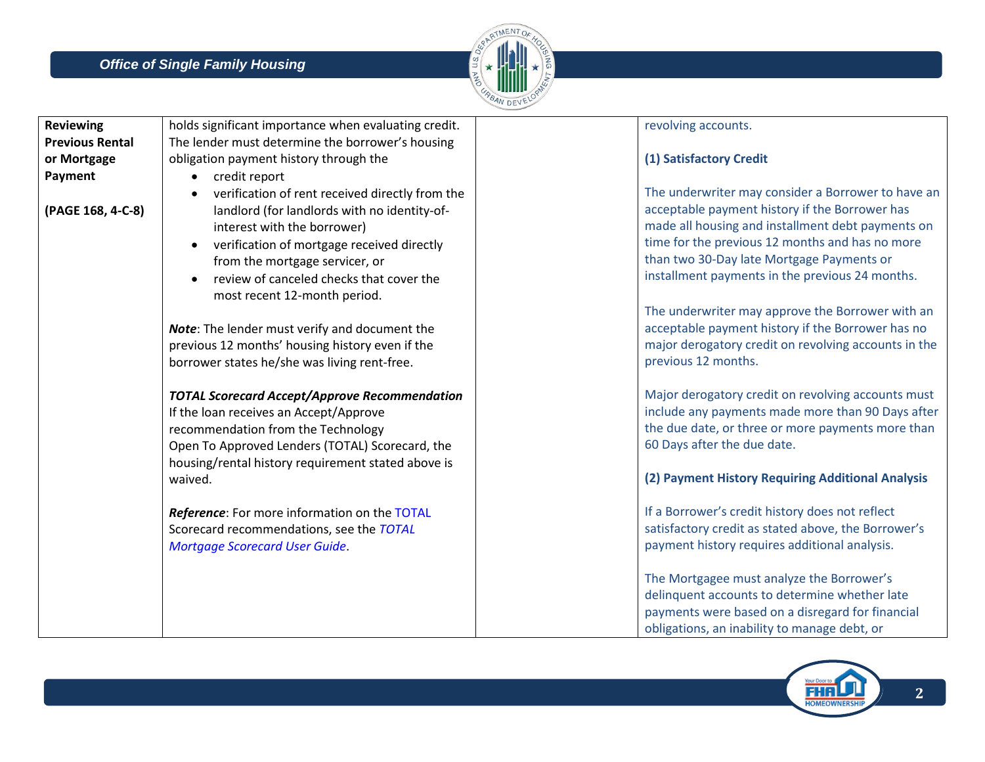

| <b>Reviewing</b>       | holds significant importance when evaluating credit. | revolving accounts.                                  |
|------------------------|------------------------------------------------------|------------------------------------------------------|
| <b>Previous Rental</b> | The lender must determine the borrower's housing     |                                                      |
| or Mortgage            | obligation payment history through the               | (1) Satisfactory Credit                              |
| Payment                | credit report<br>$\bullet$                           |                                                      |
|                        | verification of rent received directly from the      | The underwriter may consider a Borrower to have an   |
| (PAGE 168, 4-C-8)      | landlord (for landlords with no identity-of-         | acceptable payment history if the Borrower has       |
|                        | interest with the borrower)                          | made all housing and installment debt payments on    |
|                        | verification of mortgage received directly           | time for the previous 12 months and has no more      |
|                        | from the mortgage servicer, or                       | than two 30-Day late Mortgage Payments or            |
|                        | review of canceled checks that cover the             | installment payments in the previous 24 months.      |
|                        | most recent 12-month period.                         |                                                      |
|                        |                                                      | The underwriter may approve the Borrower with an     |
|                        | Note: The lender must verify and document the        | acceptable payment history if the Borrower has no    |
|                        | previous 12 months' housing history even if the      | major derogatory credit on revolving accounts in the |
|                        | borrower states he/she was living rent-free.         | previous 12 months.                                  |
|                        |                                                      |                                                      |
|                        | <b>TOTAL Scorecard Accept/Approve Recommendation</b> | Major derogatory credit on revolving accounts must   |
|                        | If the loan receives an Accept/Approve               | include any payments made more than 90 Days after    |
|                        | recommendation from the Technology                   | the due date, or three or more payments more than    |
|                        | Open To Approved Lenders (TOTAL) Scorecard, the      | 60 Days after the due date.                          |
|                        | housing/rental history requirement stated above is   |                                                      |
|                        | waived.                                              | (2) Payment History Requiring Additional Analysis    |
|                        |                                                      |                                                      |
|                        | Reference: For more information on the TOTAL         | If a Borrower's credit history does not reflect      |
|                        | Scorecard recommendations, see the TOTAL             | satisfactory credit as stated above, the Borrower's  |
|                        | <b>Mortgage Scorecard User Guide.</b>                | payment history requires additional analysis.        |
|                        |                                                      |                                                      |
|                        |                                                      | The Mortgagee must analyze the Borrower's            |
|                        |                                                      | delinquent accounts to determine whether late        |
|                        |                                                      | payments were based on a disregard for financial     |
|                        |                                                      | obligations, an inability to manage debt, or         |

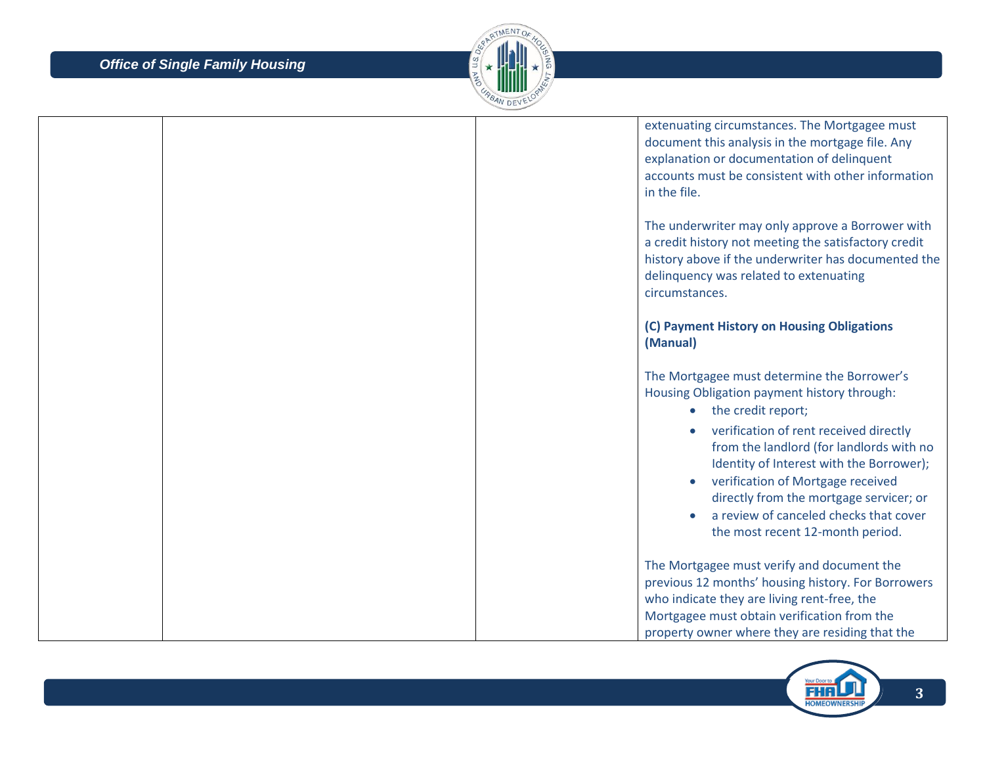

|  |  | extenuating circumstances. The Mortgagee must<br>document this analysis in the mortgage file. Any<br>explanation or documentation of delinquent<br>accounts must be consistent with other information<br>in the file.                                                                        |
|--|--|----------------------------------------------------------------------------------------------------------------------------------------------------------------------------------------------------------------------------------------------------------------------------------------------|
|  |  | The underwriter may only approve a Borrower with<br>a credit history not meeting the satisfactory credit<br>history above if the underwriter has documented the<br>delinquency was related to extenuating<br>circumstances.                                                                  |
|  |  | (C) Payment History on Housing Obligations<br>(Manual)                                                                                                                                                                                                                                       |
|  |  | The Mortgagee must determine the Borrower's<br>Housing Obligation payment history through:<br>• the credit report;                                                                                                                                                                           |
|  |  | verification of rent received directly<br>from the landlord (for landlords with no<br>Identity of Interest with the Borrower);<br>verification of Mortgage received<br>directly from the mortgage servicer; or<br>a review of canceled checks that cover<br>the most recent 12-month period. |
|  |  | The Mortgagee must verify and document the<br>previous 12 months' housing history. For Borrowers<br>who indicate they are living rent-free, the<br>Mortgagee must obtain verification from the<br>property owner where they are residing that the                                            |

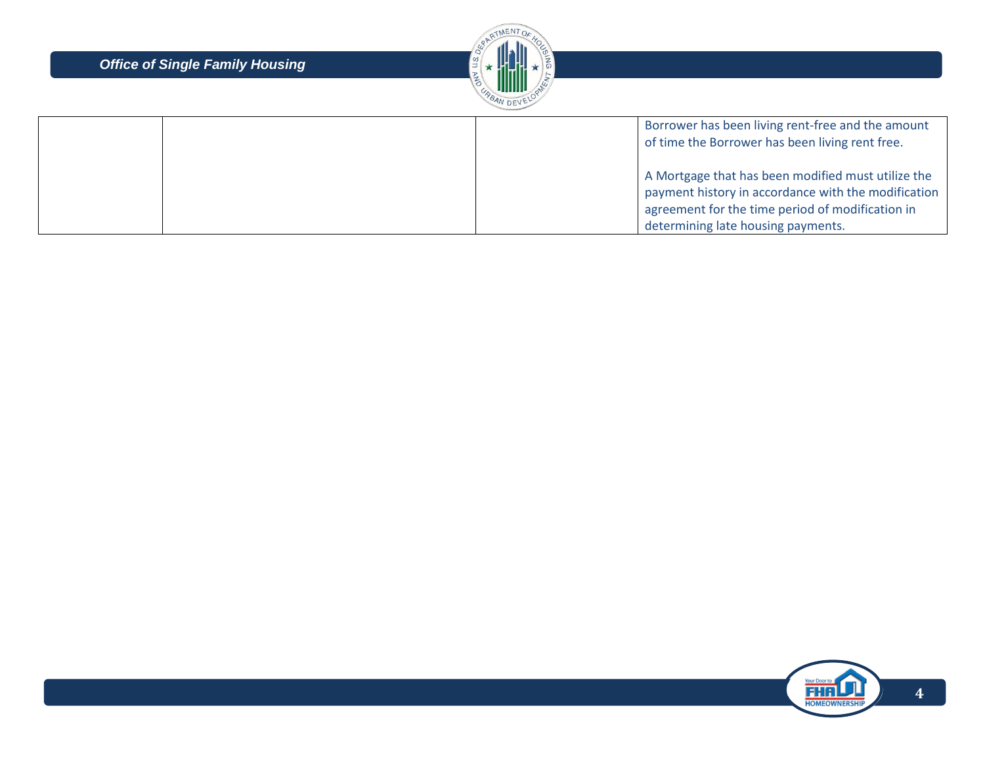

|  | Borrower has been living rent-free and the amount   |
|--|-----------------------------------------------------|
|  | of time the Borrower has been living rent free.     |
|  |                                                     |
|  | A Mortgage that has been modified must utilize the  |
|  | payment history in accordance with the modification |
|  | agreement for the time period of modification in    |
|  | determining late housing payments.                  |

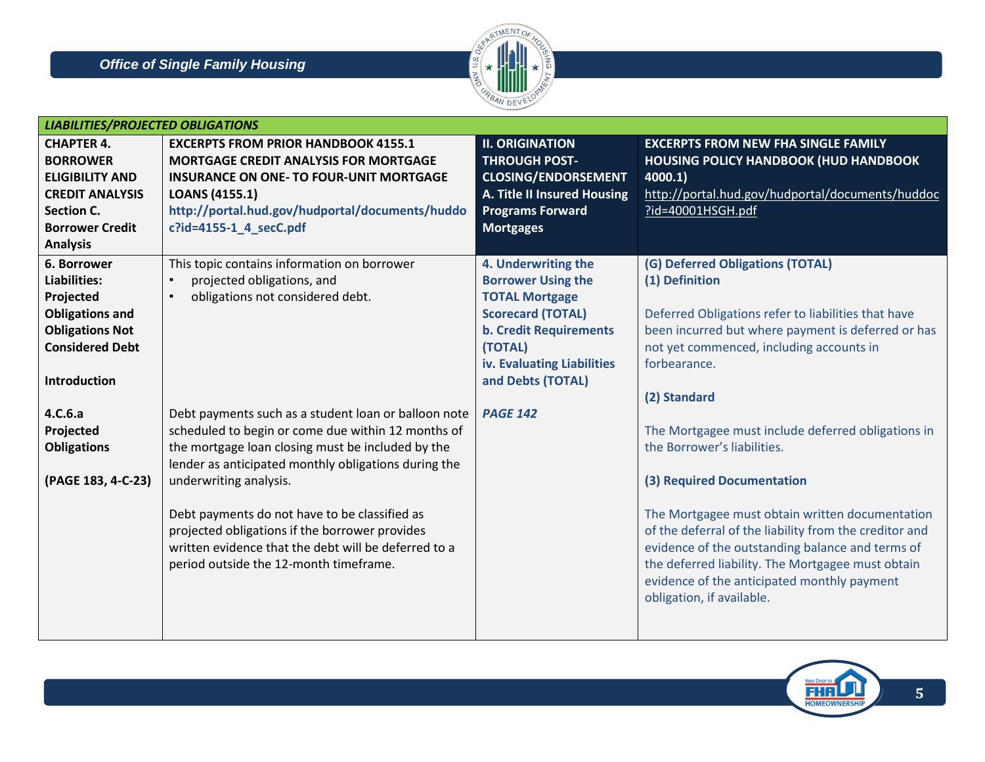

| <b>CHAPTER 4.</b><br><b>EXCERPTS FROM PRIOR HANDBOOK 4155.1</b><br><b>BORROWER</b><br><b>MORTGAGE CREDIT ANALYSIS FOR MORTGAGE</b><br><b>ELIGIBILITY AND</b><br><b>INSURANCE ON ONE- TO FOUR-UNIT MORTGAGE</b><br><b>CREDIT ANALYSIS</b><br><b>LOANS (4155.1)</b><br>http://portal.hud.gov/hudportal/documents/huddo<br><b>Section C.</b><br>c?id=4155-1 4 secC.pdf<br><b>Borrower Credit</b> | <b>II. ORIGINATION</b><br><b>EXCERPTS FROM NEW FHA SINGLE FAMILY</b><br><b>THROUGH POST-</b><br><b>HOUSING POLICY HANDBOOK (HUD HANDBOOK</b><br><b>CLOSING/ENDORSEMENT</b><br>4000.1)<br>http://portal.hud.gov/hudportal/documents/huddoc<br>A. Title II Insured Housing<br><b>Programs Forward</b><br>?id=40001HSGH.pdf<br><b>Mortgages</b> |
|-----------------------------------------------------------------------------------------------------------------------------------------------------------------------------------------------------------------------------------------------------------------------------------------------------------------------------------------------------------------------------------------------|----------------------------------------------------------------------------------------------------------------------------------------------------------------------------------------------------------------------------------------------------------------------------------------------------------------------------------------------|
|                                                                                                                                                                                                                                                                                                                                                                                               |                                                                                                                                                                                                                                                                                                                                              |
|                                                                                                                                                                                                                                                                                                                                                                                               |                                                                                                                                                                                                                                                                                                                                              |
|                                                                                                                                                                                                                                                                                                                                                                                               |                                                                                                                                                                                                                                                                                                                                              |
|                                                                                                                                                                                                                                                                                                                                                                                               |                                                                                                                                                                                                                                                                                                                                              |
|                                                                                                                                                                                                                                                                                                                                                                                               |                                                                                                                                                                                                                                                                                                                                              |
|                                                                                                                                                                                                                                                                                                                                                                                               |                                                                                                                                                                                                                                                                                                                                              |
| <b>Analysis</b>                                                                                                                                                                                                                                                                                                                                                                               |                                                                                                                                                                                                                                                                                                                                              |
| 6. Borrower<br>This topic contains information on borrower                                                                                                                                                                                                                                                                                                                                    | 4. Underwriting the<br>(G) Deferred Obligations (TOTAL)                                                                                                                                                                                                                                                                                      |
| Liabilities:<br>projected obligations, and                                                                                                                                                                                                                                                                                                                                                    | <b>Borrower Using the</b><br>(1) Definition                                                                                                                                                                                                                                                                                                  |
| Projected<br>obligations not considered debt.                                                                                                                                                                                                                                                                                                                                                 | <b>TOTAL Mortgage</b>                                                                                                                                                                                                                                                                                                                        |
| <b>Obligations and</b>                                                                                                                                                                                                                                                                                                                                                                        | <b>Scorecard (TOTAL)</b><br>Deferred Obligations refer to liabilities that have                                                                                                                                                                                                                                                              |
| <b>Obligations Not</b>                                                                                                                                                                                                                                                                                                                                                                        | been incurred but where payment is deferred or has<br><b>b. Credit Requirements</b>                                                                                                                                                                                                                                                          |
| <b>Considered Debt</b><br>(TOTAL)                                                                                                                                                                                                                                                                                                                                                             | not yet commenced, including accounts in                                                                                                                                                                                                                                                                                                     |
|                                                                                                                                                                                                                                                                                                                                                                                               | iv. Evaluating Liabilities<br>forbearance.                                                                                                                                                                                                                                                                                                   |
| Introduction                                                                                                                                                                                                                                                                                                                                                                                  | and Debts (TOTAL)                                                                                                                                                                                                                                                                                                                            |
|                                                                                                                                                                                                                                                                                                                                                                                               | (2) Standard                                                                                                                                                                                                                                                                                                                                 |
| Debt payments such as a student loan or balloon note<br><b>PAGE 142</b><br>4.C.6.a                                                                                                                                                                                                                                                                                                            |                                                                                                                                                                                                                                                                                                                                              |
| Projected<br>scheduled to begin or come due within 12 months of                                                                                                                                                                                                                                                                                                                               | The Mortgagee must include deferred obligations in                                                                                                                                                                                                                                                                                           |
| the mortgage loan closing must be included by the<br><b>Obligations</b>                                                                                                                                                                                                                                                                                                                       | the Borrower's liabilities.                                                                                                                                                                                                                                                                                                                  |
| lender as anticipated monthly obligations during the                                                                                                                                                                                                                                                                                                                                          |                                                                                                                                                                                                                                                                                                                                              |
| (PAGE 183, 4-C-23)<br>underwriting analysis.                                                                                                                                                                                                                                                                                                                                                  | (3) Required Documentation                                                                                                                                                                                                                                                                                                                   |
|                                                                                                                                                                                                                                                                                                                                                                                               |                                                                                                                                                                                                                                                                                                                                              |
| Debt payments do not have to be classified as<br>projected obligations if the borrower provides<br>written evidence that the debt will be deferred to a<br>period outside the 12-month timeframe.                                                                                                                                                                                             | The Mortgagee must obtain written documentation<br>of the deferral of the liability from the creditor and<br>evidence of the outstanding balance and terms of<br>the deferred liability. The Mortgagee must obtain<br>evidence of the anticipated monthly payment<br>obligation, if available.                                               |

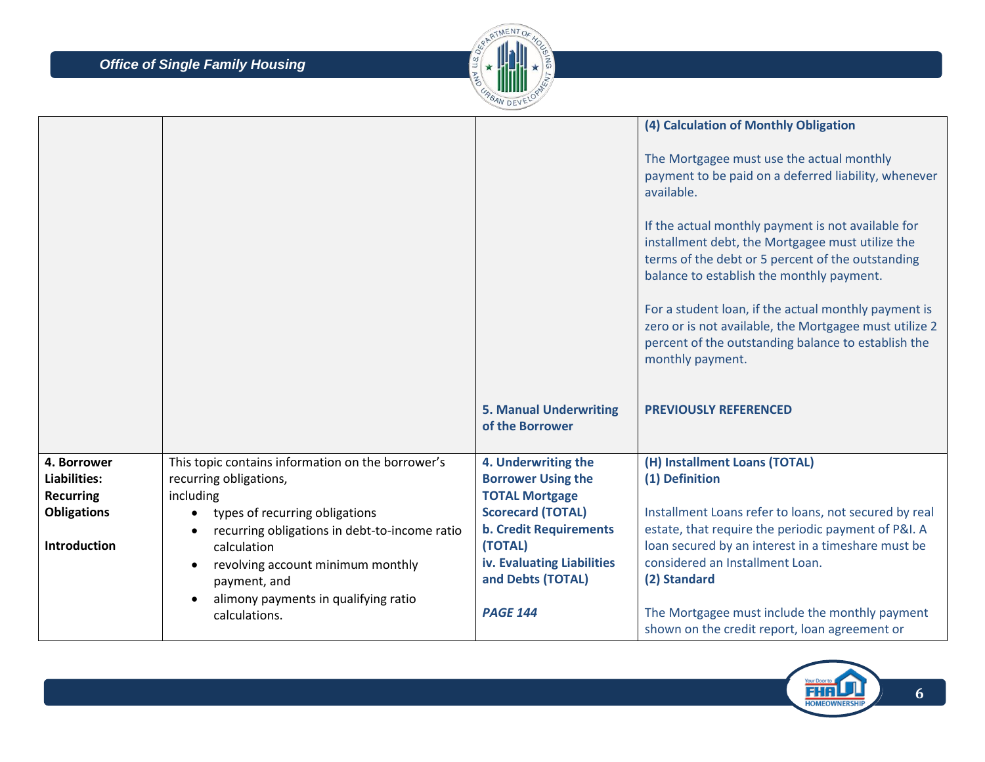

|                             |                                                       |                                                  | (4) Calculation of Monthly Obligation<br>The Mortgagee must use the actual monthly<br>payment to be paid on a deferred liability, whenever                                                               |
|-----------------------------|-------------------------------------------------------|--------------------------------------------------|----------------------------------------------------------------------------------------------------------------------------------------------------------------------------------------------------------|
|                             |                                                       |                                                  | available.                                                                                                                                                                                               |
|                             |                                                       |                                                  | If the actual monthly payment is not available for<br>installment debt, the Mortgagee must utilize the<br>terms of the debt or 5 percent of the outstanding<br>balance to establish the monthly payment. |
|                             |                                                       |                                                  | For a student loan, if the actual monthly payment is<br>zero or is not available, the Mortgagee must utilize 2<br>percent of the outstanding balance to establish the<br>monthly payment.                |
|                             |                                                       | <b>5. Manual Underwriting</b><br>of the Borrower | <b>PREVIOUSLY REFERENCED</b>                                                                                                                                                                             |
| 4. Borrower<br>Liabilities: | This topic contains information on the borrower's     | 4. Underwriting the<br><b>Borrower Using the</b> | (H) Installment Loans (TOTAL)<br>(1) Definition                                                                                                                                                          |
| <b>Recurring</b>            | recurring obligations,<br>including                   | <b>TOTAL Mortgage</b>                            |                                                                                                                                                                                                          |
| <b>Obligations</b>          | types of recurring obligations<br>$\bullet$           | <b>Scorecard (TOTAL)</b>                         | Installment Loans refer to loans, not secured by real                                                                                                                                                    |
| <b>Introduction</b>         | recurring obligations in debt-to-income ratio         | <b>b. Credit Requirements</b><br>(TOTAL)         | estate, that require the periodic payment of P&I. A<br>loan secured by an interest in a timeshare must be                                                                                                |
|                             | calculation<br>revolving account minimum monthly      | iv. Evaluating Liabilities                       | considered an Installment Loan.                                                                                                                                                                          |
|                             | payment, and                                          | and Debts (TOTAL)                                | (2) Standard                                                                                                                                                                                             |
|                             | alimony payments in qualifying ratio<br>calculations. | <b>PAGE 144</b>                                  | The Mortgagee must include the monthly payment<br>shown on the credit report, loan agreement or                                                                                                          |

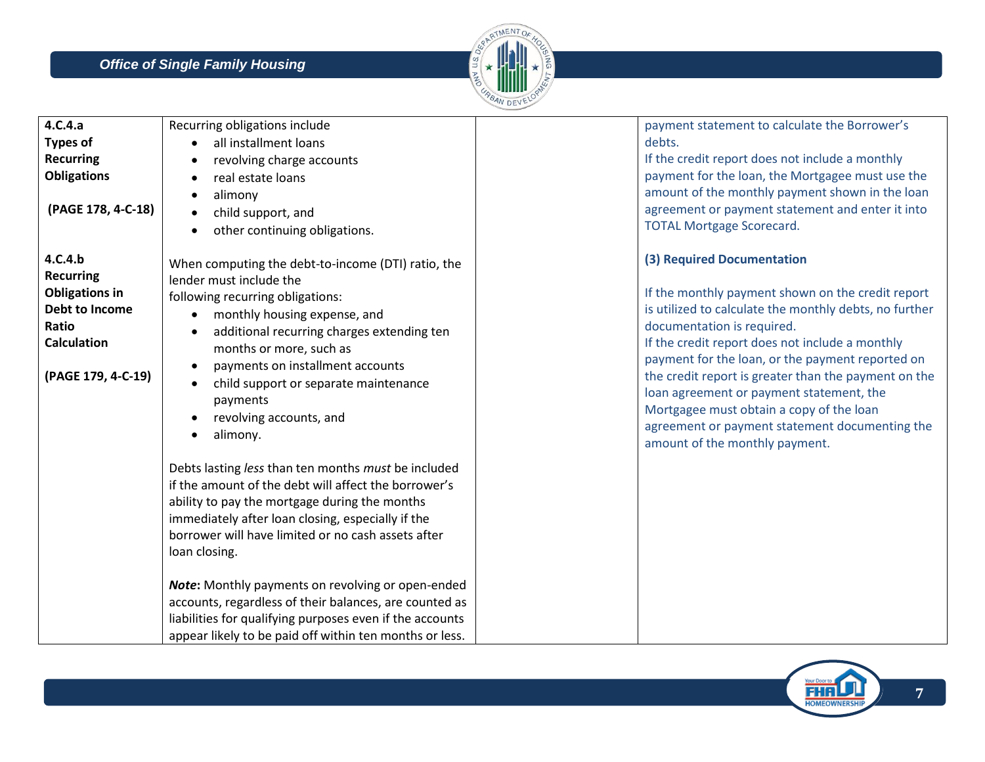

| 4.C.4.a<br><b>Types of</b><br><b>Recurring</b><br><b>Obligations</b><br>(PAGE 178, 4-C-18)                                  | Recurring obligations include<br>all installment loans<br>revolving charge accounts<br>real estate loans<br>alimony<br>$\bullet$<br>child support, and<br>other continuing obligations.<br>$\bullet$                                                                                                                                                                                                                                                                                                                           | payment statement to calculate the Borrower's<br>debts.<br>If the credit report does not include a monthly<br>payment for the loan, the Mortgagee must use the<br>amount of the monthly payment shown in the loan<br>agreement or payment statement and enter it into<br><b>TOTAL Mortgage Scorecard.</b>                                                                                                                                                                                                          |
|-----------------------------------------------------------------------------------------------------------------------------|--------------------------------------------------------------------------------------------------------------------------------------------------------------------------------------------------------------------------------------------------------------------------------------------------------------------------------------------------------------------------------------------------------------------------------------------------------------------------------------------------------------------------------|--------------------------------------------------------------------------------------------------------------------------------------------------------------------------------------------------------------------------------------------------------------------------------------------------------------------------------------------------------------------------------------------------------------------------------------------------------------------------------------------------------------------|
| 4.C.4.b<br><b>Recurring</b><br><b>Obligations in</b><br>Debt to Income<br>Ratio<br><b>Calculation</b><br>(PAGE 179, 4-C-19) | When computing the debt-to-income (DTI) ratio, the<br>lender must include the<br>following recurring obligations:<br>monthly housing expense, and<br>additional recurring charges extending ten<br>months or more, such as<br>payments on installment accounts<br>$\bullet$<br>child support or separate maintenance<br>payments<br>revolving accounts, and<br>alimony.                                                                                                                                                        | (3) Required Documentation<br>If the monthly payment shown on the credit report<br>is utilized to calculate the monthly debts, no further<br>documentation is required.<br>If the credit report does not include a monthly<br>payment for the loan, or the payment reported on<br>the credit report is greater than the payment on the<br>loan agreement or payment statement, the<br>Mortgagee must obtain a copy of the loan<br>agreement or payment statement documenting the<br>amount of the monthly payment. |
|                                                                                                                             | Debts lasting less than ten months must be included<br>if the amount of the debt will affect the borrower's<br>ability to pay the mortgage during the months<br>immediately after loan closing, especially if the<br>borrower will have limited or no cash assets after<br>loan closing.<br>Note: Monthly payments on revolving or open-ended<br>accounts, regardless of their balances, are counted as<br>liabilities for qualifying purposes even if the accounts<br>appear likely to be paid off within ten months or less. |                                                                                                                                                                                                                                                                                                                                                                                                                                                                                                                    |

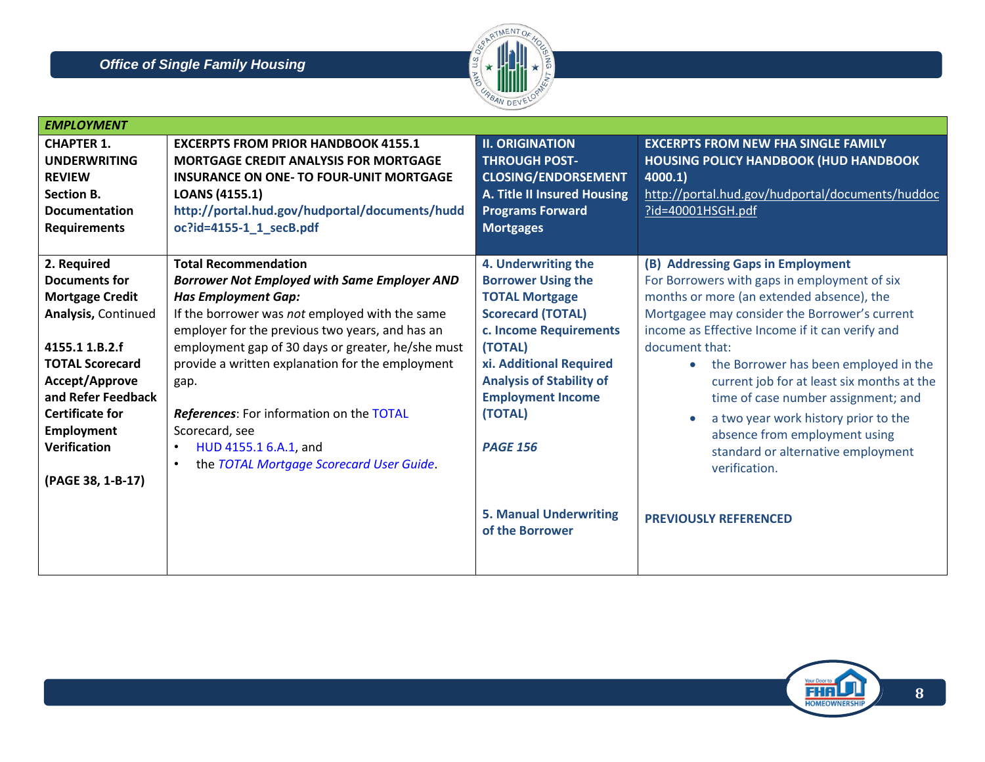

| <b>EMPLOYMENT</b>                                                                                                                                                                                                                                                   |                                                                                                                                                                                                                                                                                                                                                                                                                                                                                                     |                                                                                                                                                                                                                                                                                                                        |                                                                                                                                                                                                                                                                                                                                                                                                                                                                                                                                                                 |
|---------------------------------------------------------------------------------------------------------------------------------------------------------------------------------------------------------------------------------------------------------------------|-----------------------------------------------------------------------------------------------------------------------------------------------------------------------------------------------------------------------------------------------------------------------------------------------------------------------------------------------------------------------------------------------------------------------------------------------------------------------------------------------------|------------------------------------------------------------------------------------------------------------------------------------------------------------------------------------------------------------------------------------------------------------------------------------------------------------------------|-----------------------------------------------------------------------------------------------------------------------------------------------------------------------------------------------------------------------------------------------------------------------------------------------------------------------------------------------------------------------------------------------------------------------------------------------------------------------------------------------------------------------------------------------------------------|
| <b>CHAPTER 1.</b><br><b>UNDERWRITING</b><br><b>REVIEW</b><br><b>Section B.</b><br><b>Documentation</b><br><b>Requirements</b>                                                                                                                                       | <b>EXCERPTS FROM PRIOR HANDBOOK 4155.1</b><br><b>MORTGAGE CREDIT ANALYSIS FOR MORTGAGE</b><br><b>INSURANCE ON ONE- TO FOUR-UNIT MORTGAGE</b><br>LOANS (4155.1)<br>http://portal.hud.gov/hudportal/documents/hudd<br>oc?id=4155-1_1_secB.pdf                                                                                                                                                                                                                                                         | <b>II. ORIGINATION</b><br><b>THROUGH POST-</b><br><b>CLOSING/ENDORSEMENT</b><br>A. Title II Insured Housing<br><b>Programs Forward</b><br><b>Mortgages</b>                                                                                                                                                             | <b>EXCERPTS FROM NEW FHA SINGLE FAMILY</b><br><b>HOUSING POLICY HANDBOOK (HUD HANDBOOK</b><br>4000.1)<br>http://portal.hud.gov/hudportal/documents/huddoc<br>?id=40001HSGH.pdf                                                                                                                                                                                                                                                                                                                                                                                  |
| 2. Required<br><b>Documents for</b><br><b>Mortgage Credit</b><br>Analysis, Continued<br>4155.1 1.B.2.f<br><b>TOTAL Scorecard</b><br>Accept/Approve<br>and Refer Feedback<br><b>Certificate for</b><br><b>Employment</b><br><b>Verification</b><br>(PAGE 38, 1-B-17) | <b>Total Recommendation</b><br><b>Borrower Not Employed with Same Employer AND</b><br><b>Has Employment Gap:</b><br>If the borrower was not employed with the same<br>employer for the previous two years, and has an<br>employment gap of 30 days or greater, he/she must<br>provide a written explanation for the employment<br>gap.<br>References: For information on the TOTAL<br>Scorecard, see<br>HUD 4155.1 6.A.1, and<br>$\bullet$<br>the TOTAL Mortgage Scorecard User Guide.<br>$\bullet$ | 4. Underwriting the<br><b>Borrower Using the</b><br><b>TOTAL Mortgage</b><br><b>Scorecard (TOTAL)</b><br>c. Income Requirements<br>(TOTAL)<br>xi. Additional Required<br><b>Analysis of Stability of</b><br><b>Employment Income</b><br>(TOTAL)<br><b>PAGE 156</b><br><b>5. Manual Underwriting</b><br>of the Borrower | (B) Addressing Gaps in Employment<br>For Borrowers with gaps in employment of six<br>months or more (an extended absence), the<br>Mortgagee may consider the Borrower's current<br>income as Effective Income if it can verify and<br>document that:<br>the Borrower has been employed in the<br>$\bullet$<br>current job for at least six months at the<br>time of case number assignment; and<br>a two year work history prior to the<br>absence from employment using<br>standard or alternative employment<br>verification.<br><b>PREVIOUSLY REFERENCED</b> |

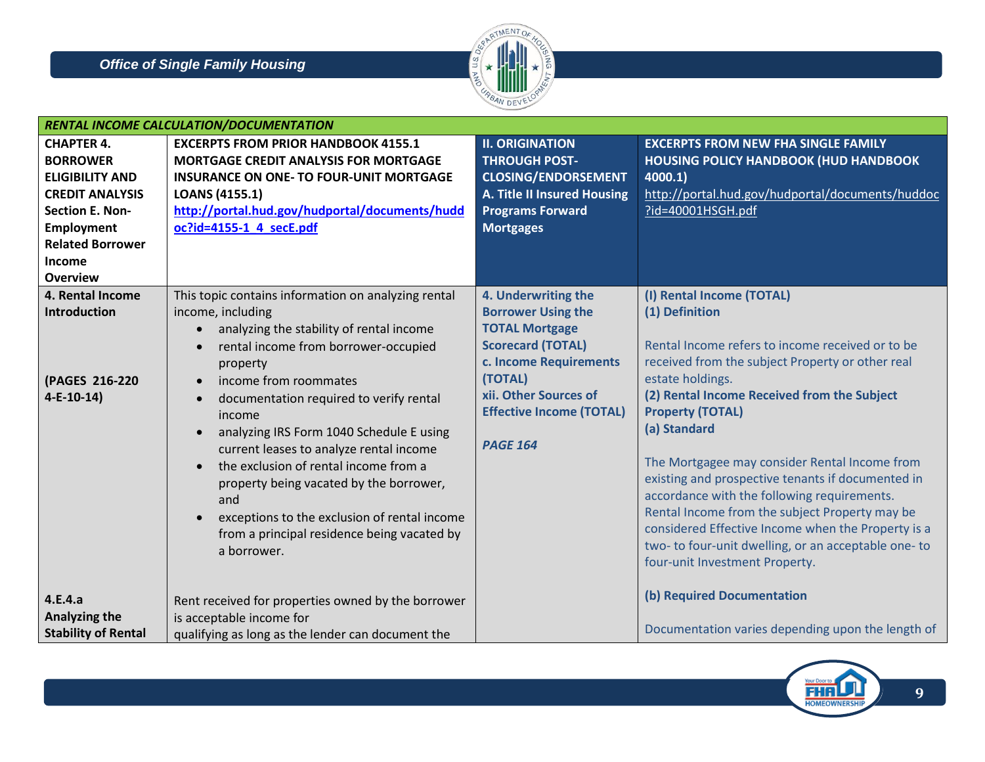

|                                                                                                                                                                                                        | RENTAL INCOME CALCULATION/DOCUMENTATION                                                                                                                                                                                                                                                                                                                                                                                                                                                                                                                                                                                              |                                                                                                                                                                                                                           |                                                                                                                                                                                                                                                                                                                                                                                                                                                                                                                                                                                                                          |  |
|--------------------------------------------------------------------------------------------------------------------------------------------------------------------------------------------------------|--------------------------------------------------------------------------------------------------------------------------------------------------------------------------------------------------------------------------------------------------------------------------------------------------------------------------------------------------------------------------------------------------------------------------------------------------------------------------------------------------------------------------------------------------------------------------------------------------------------------------------------|---------------------------------------------------------------------------------------------------------------------------------------------------------------------------------------------------------------------------|--------------------------------------------------------------------------------------------------------------------------------------------------------------------------------------------------------------------------------------------------------------------------------------------------------------------------------------------------------------------------------------------------------------------------------------------------------------------------------------------------------------------------------------------------------------------------------------------------------------------------|--|
| <b>CHAPTER 4.</b><br><b>BORROWER</b><br><b>ELIGIBILITY AND</b><br><b>CREDIT ANALYSIS</b><br><b>Section E. Non-</b><br><b>Employment</b><br><b>Related Borrower</b><br><b>Income</b><br><b>Overview</b> | <b>EXCERPTS FROM PRIOR HANDBOOK 4155.1</b><br><b>MORTGAGE CREDIT ANALYSIS FOR MORTGAGE</b><br><b>INSURANCE ON ONE- TO FOUR-UNIT MORTGAGE</b><br><b>LOANS (4155.1)</b><br>http://portal.hud.gov/hudportal/documents/hudd<br>oc?id=4155-1_4_secE.pdf                                                                                                                                                                                                                                                                                                                                                                                   | <b>II. ORIGINATION</b><br><b>THROUGH POST-</b><br><b>CLOSING/ENDORSEMENT</b><br><b>A. Title II Insured Housing</b><br><b>Programs Forward</b><br><b>Mortgages</b>                                                         | <b>EXCERPTS FROM NEW FHA SINGLE FAMILY</b><br><b>HOUSING POLICY HANDBOOK (HUD HANDBOOK</b><br>4000.1)<br>http://portal.hud.gov/hudportal/documents/huddoc<br>?id=40001HSGH.pdf                                                                                                                                                                                                                                                                                                                                                                                                                                           |  |
| 4. Rental Income<br><b>Introduction</b><br>(PAGES 216-220<br>$4-E-10-14)$                                                                                                                              | This topic contains information on analyzing rental<br>income, including<br>analyzing the stability of rental income<br>rental income from borrower-occupied<br>$\bullet$<br>property<br>income from roommates<br>$\bullet$<br>documentation required to verify rental<br>$\bullet$<br>income<br>analyzing IRS Form 1040 Schedule E using<br>$\bullet$<br>current leases to analyze rental income<br>the exclusion of rental income from a<br>$\bullet$<br>property being vacated by the borrower,<br>and<br>exceptions to the exclusion of rental income<br>$\bullet$<br>from a principal residence being vacated by<br>a borrower. | 4. Underwriting the<br><b>Borrower Using the</b><br><b>TOTAL Mortgage</b><br><b>Scorecard (TOTAL)</b><br>c. Income Requirements<br>(TOTAL)<br>xii. Other Sources of<br><b>Effective Income (TOTAL)</b><br><b>PAGE 164</b> | (I) Rental Income (TOTAL)<br>(1) Definition<br>Rental Income refers to income received or to be<br>received from the subject Property or other real<br>estate holdings.<br>(2) Rental Income Received from the Subject<br><b>Property (TOTAL)</b><br>(a) Standard<br>The Mortgagee may consider Rental Income from<br>existing and prospective tenants if documented in<br>accordance with the following requirements.<br>Rental Income from the subject Property may be<br>considered Effective Income when the Property is a<br>two- to four-unit dwelling, or an acceptable one- to<br>four-unit Investment Property. |  |
| 4.E.4.a<br><b>Analyzing the</b><br><b>Stability of Rental</b>                                                                                                                                          | Rent received for properties owned by the borrower<br>is acceptable income for<br>qualifying as long as the lender can document the                                                                                                                                                                                                                                                                                                                                                                                                                                                                                                  |                                                                                                                                                                                                                           | (b) Required Documentation<br>Documentation varies depending upon the length of                                                                                                                                                                                                                                                                                                                                                                                                                                                                                                                                          |  |

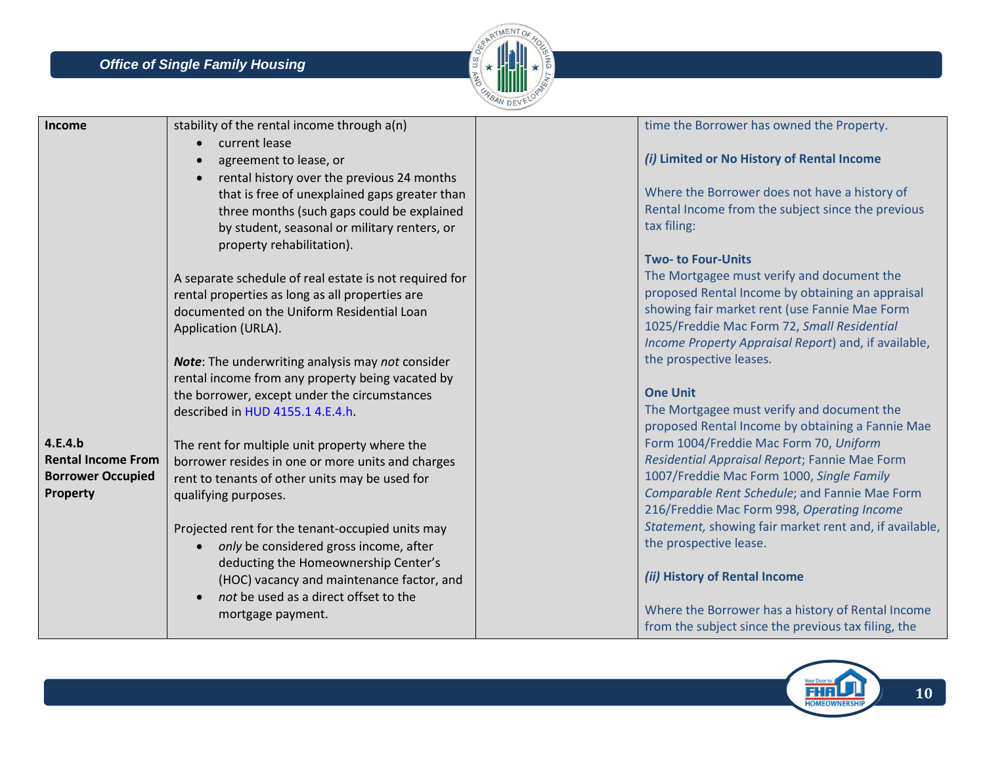

| Income                    | stability of the rental income through a(n)            | time the Borrower has owned the Property.              |
|---------------------------|--------------------------------------------------------|--------------------------------------------------------|
|                           | current lease                                          |                                                        |
|                           | agreement to lease, or                                 | (i) Limited or No History of Rental Income             |
|                           | rental history over the previous 24 months             |                                                        |
|                           | that is free of unexplained gaps greater than          | Where the Borrower does not have a history of          |
|                           | three months (such gaps could be explained             | Rental Income from the subject since the previous      |
|                           | by student, seasonal or military renters, or           | tax filing:                                            |
|                           | property rehabilitation).                              |                                                        |
|                           |                                                        | <b>Two- to Four-Units</b>                              |
|                           | A separate schedule of real estate is not required for | The Mortgagee must verify and document the             |
|                           | rental properties as long as all properties are        | proposed Rental Income by obtaining an appraisal       |
|                           | documented on the Uniform Residential Loan             | showing fair market rent (use Fannie Mae Form          |
|                           | Application (URLA).                                    | 1025/Freddie Mac Form 72, Small Residential            |
|                           |                                                        | Income Property Appraisal Report) and, if available,   |
|                           | Note: The underwriting analysis may not consider       | the prospective leases.                                |
|                           | rental income from any property being vacated by       |                                                        |
|                           | the borrower, except under the circumstances           | <b>One Unit</b>                                        |
|                           | described in HUD 4155.1 4.E.4.h.                       | The Mortgagee must verify and document the             |
|                           |                                                        | proposed Rental Income by obtaining a Fannie Mae       |
| 4.E.4.b                   | The rent for multiple unit property where the          | Form 1004/Freddie Mac Form 70, Uniform                 |
| <b>Rental Income From</b> | borrower resides in one or more units and charges      | Residential Appraisal Report; Fannie Mae Form          |
| <b>Borrower Occupied</b>  | rent to tenants of other units may be used for         | 1007/Freddie Mac Form 1000, Single Family              |
| Property                  | qualifying purposes.                                   | Comparable Rent Schedule; and Fannie Mae Form          |
|                           |                                                        | 216/Freddie Mac Form 998, Operating Income             |
|                           | Projected rent for the tenant-occupied units may       | Statement, showing fair market rent and, if available, |
|                           | only be considered gross income, after<br>$\bullet$    | the prospective lease.                                 |
|                           | deducting the Homeownership Center's                   |                                                        |
|                           | (HOC) vacancy and maintenance factor, and              | (ii) History of Rental Income                          |
|                           | not be used as a direct offset to the                  |                                                        |
|                           | mortgage payment.                                      | Where the Borrower has a history of Rental Income      |
|                           |                                                        | from the subject since the previous tax filing, the    |

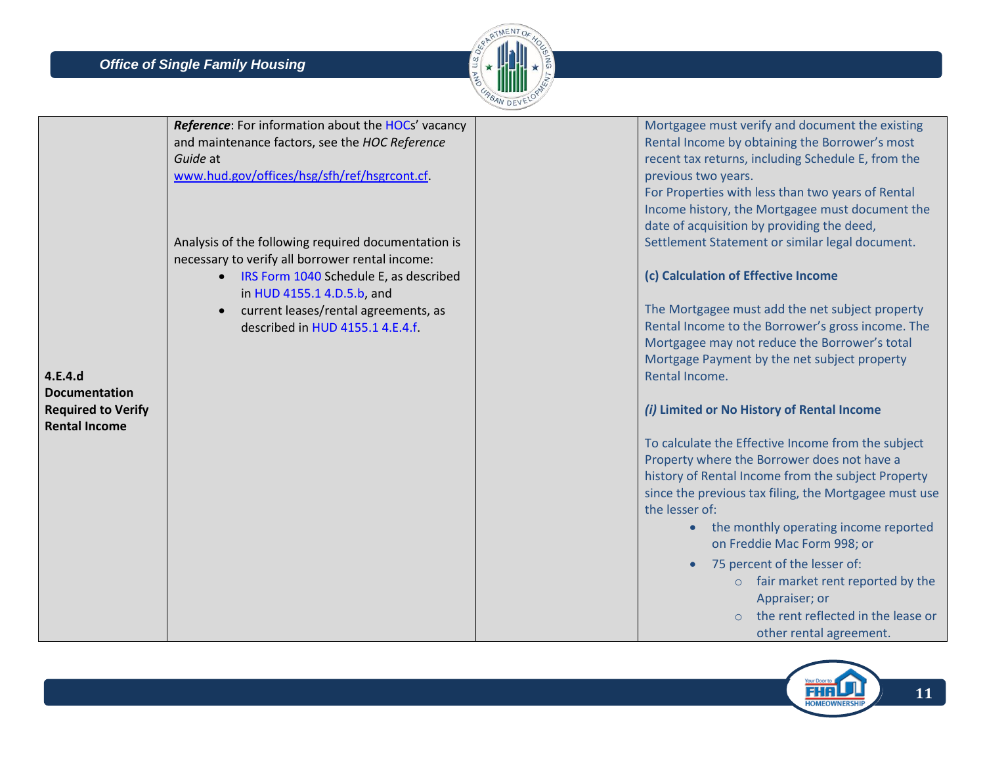

|                           | Reference: For information about the HOCs' vacancy  | Mortgagee must verify and document the existing       |
|---------------------------|-----------------------------------------------------|-------------------------------------------------------|
|                           | and maintenance factors, see the HOC Reference      | Rental Income by obtaining the Borrower's most        |
|                           | Guide at                                            | recent tax returns, including Schedule E, from the    |
|                           | www.hud.gov/offices/hsg/sfh/ref/hsgrcont.cf         | previous two years.                                   |
|                           |                                                     | For Properties with less than two years of Rental     |
|                           |                                                     | Income history, the Mortgagee must document the       |
|                           |                                                     | date of acquisition by providing the deed,            |
|                           | Analysis of the following required documentation is | Settlement Statement or similar legal document.       |
|                           | necessary to verify all borrower rental income:     |                                                       |
|                           | IRS Form 1040 Schedule E, as described              | (c) Calculation of Effective Income                   |
|                           | in HUD 4155.1 4.D.5.b, and                          |                                                       |
|                           | current leases/rental agreements, as                | The Mortgagee must add the net subject property       |
|                           | described in HUD 4155.1 4.E.4.f.                    | Rental Income to the Borrower's gross income. The     |
|                           |                                                     | Mortgagee may not reduce the Borrower's total         |
|                           |                                                     | Mortgage Payment by the net subject property          |
| 4.E.4.d                   |                                                     | Rental Income.                                        |
| <b>Documentation</b>      |                                                     |                                                       |
| <b>Required to Verify</b> |                                                     | (i) Limited or No History of Rental Income            |
| <b>Rental Income</b>      |                                                     |                                                       |
|                           |                                                     | To calculate the Effective Income from the subject    |
|                           |                                                     | Property where the Borrower does not have a           |
|                           |                                                     | history of Rental Income from the subject Property    |
|                           |                                                     | since the previous tax filing, the Mortgagee must use |
|                           |                                                     | the lesser of:                                        |
|                           |                                                     | the monthly operating income reported                 |
|                           |                                                     | on Freddie Mac Form 998; or                           |
|                           |                                                     |                                                       |
|                           |                                                     | 75 percent of the lesser of:                          |
|                           |                                                     | o fair market rent reported by the                    |
|                           |                                                     | Appraiser; or                                         |
|                           |                                                     | the rent reflected in the lease or                    |
|                           |                                                     | other rental agreement.                               |

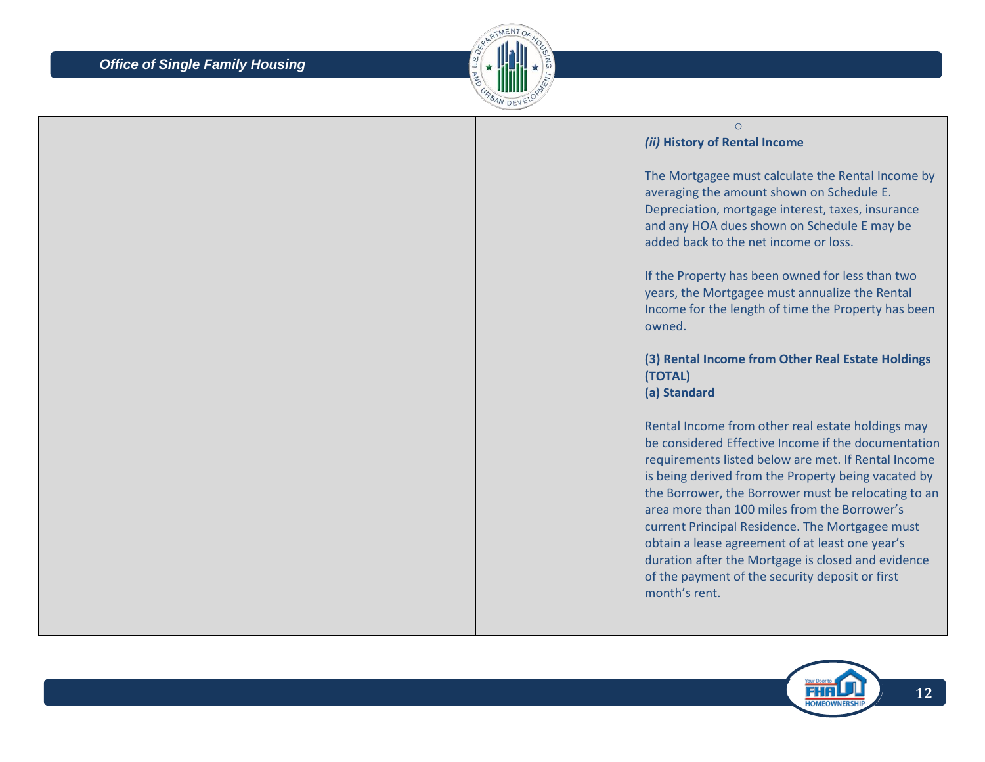

|  | $\circ$<br>(ii) History of Rental Income                                                                                                                                                                                                                                                                                                                                                                                                                                                                                                                      |
|--|---------------------------------------------------------------------------------------------------------------------------------------------------------------------------------------------------------------------------------------------------------------------------------------------------------------------------------------------------------------------------------------------------------------------------------------------------------------------------------------------------------------------------------------------------------------|
|  | The Mortgagee must calculate the Rental Income by<br>averaging the amount shown on Schedule E.<br>Depreciation, mortgage interest, taxes, insurance<br>and any HOA dues shown on Schedule E may be<br>added back to the net income or loss.                                                                                                                                                                                                                                                                                                                   |
|  | If the Property has been owned for less than two<br>years, the Mortgagee must annualize the Rental<br>Income for the length of time the Property has been<br>owned.                                                                                                                                                                                                                                                                                                                                                                                           |
|  | (3) Rental Income from Other Real Estate Holdings<br>(TOTAL)<br>(a) Standard                                                                                                                                                                                                                                                                                                                                                                                                                                                                                  |
|  | Rental Income from other real estate holdings may<br>be considered Effective Income if the documentation<br>requirements listed below are met. If Rental Income<br>is being derived from the Property being vacated by<br>the Borrower, the Borrower must be relocating to an<br>area more than 100 miles from the Borrower's<br>current Principal Residence. The Mortgagee must<br>obtain a lease agreement of at least one year's<br>duration after the Mortgage is closed and evidence<br>of the payment of the security deposit or first<br>month's rent. |

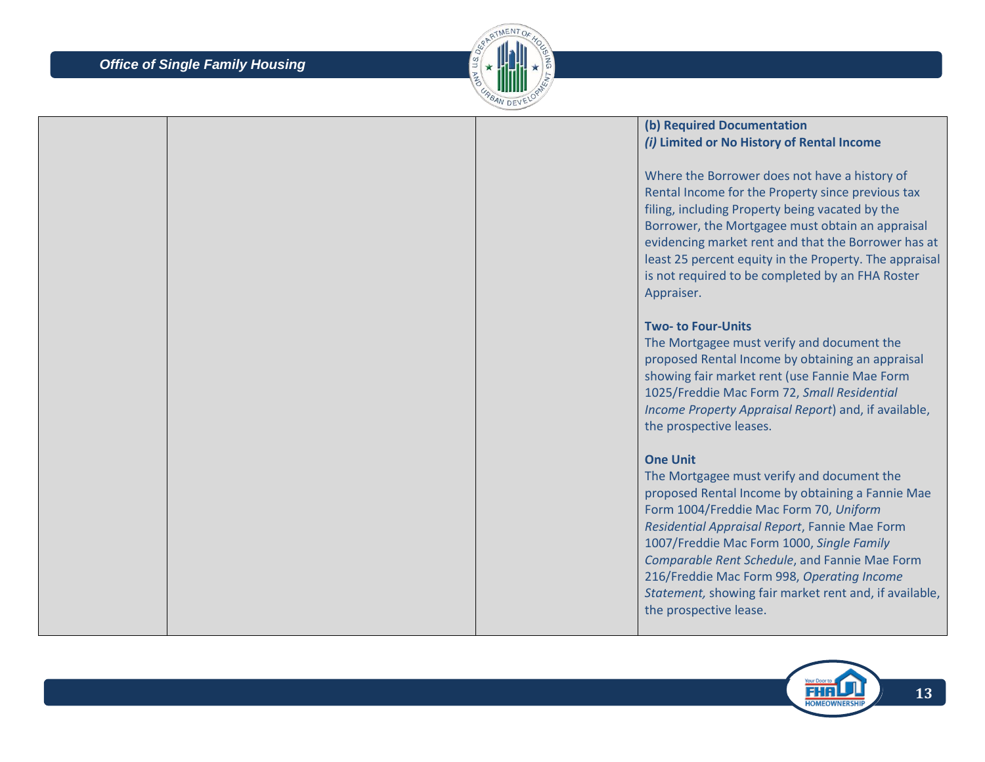

### **(b) Required Documentation**  *(i)* **Limited or No History of Rental Income**

Where the Borrower does not have a history of Rental Income for the Property since previous tax filing, including Property being vacated by the Borrower, the Mortgagee must obtain an appraisal evidencing market rent and that the Borrower has at least 25 percent equity in the Property. The appraisal is not required to be completed by an FHA Roster Appraiser.

#### **Two- to Four-Units**

The Mortgagee must verify and document the proposed Rental Income by obtaining an appraisal showing fair market rent (use Fannie Mae Form 1025/Freddie Mac Form 72, *Small Residential Income Property Appraisal Report*) and, if available, the prospective leases.

#### **One Unit**

The Mortgagee must verify and document the proposed Rental Income by obtaining a Fannie Mae Form 1004/Freddie Mac Form 70, *Uniform Residential Appraisal Report*, Fannie Mae Form 1007/Freddie Mac Form 1000, *Single Family Comparable Rent Schedule*, and Fannie Mae Form 216/Freddie Mac Form 998, *Operating Income Statement,* showing fair market rent and, if available, the prospective lease.

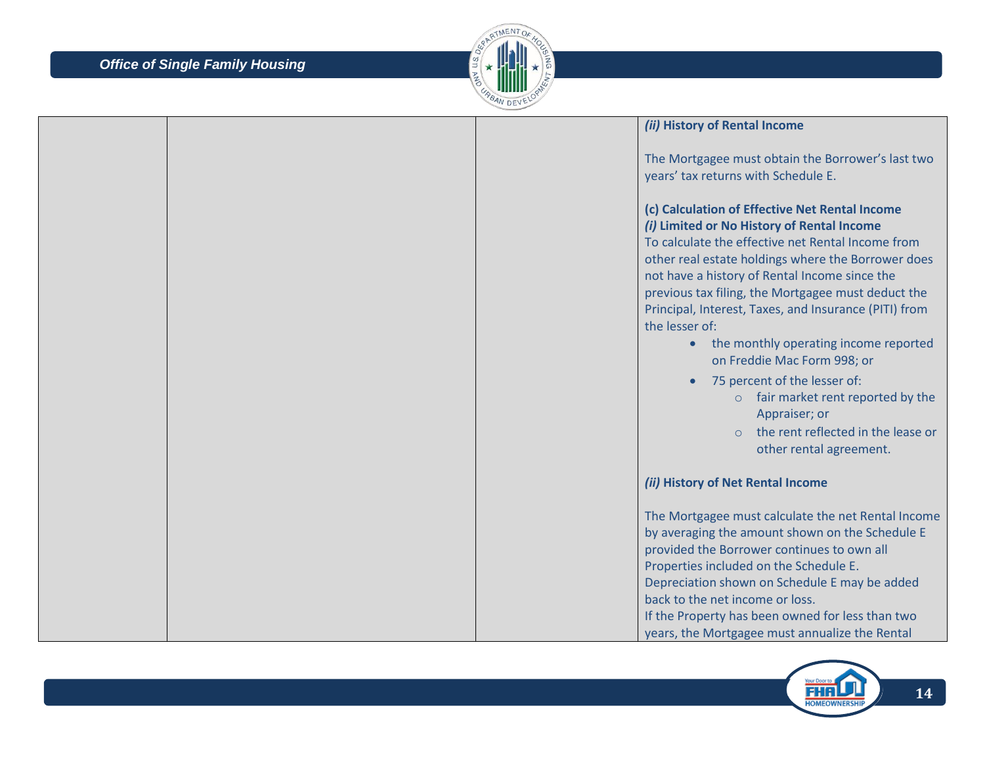

|  |  | (ii) History of Rental Income                                                                                                                                                                                                                                                                                                                                                                                                                                                                                                                                                                                                                            |
|--|--|----------------------------------------------------------------------------------------------------------------------------------------------------------------------------------------------------------------------------------------------------------------------------------------------------------------------------------------------------------------------------------------------------------------------------------------------------------------------------------------------------------------------------------------------------------------------------------------------------------------------------------------------------------|
|  |  | The Mortgagee must obtain the Borrower's last two<br>years' tax returns with Schedule E.                                                                                                                                                                                                                                                                                                                                                                                                                                                                                                                                                                 |
|  |  | (c) Calculation of Effective Net Rental Income<br>(i) Limited or No History of Rental Income<br>To calculate the effective net Rental Income from<br>other real estate holdings where the Borrower does<br>not have a history of Rental Income since the<br>previous tax filing, the Mortgagee must deduct the<br>Principal, Interest, Taxes, and Insurance (PITI) from<br>the lesser of:<br>the monthly operating income reported<br>$\bullet$<br>on Freddie Mac Form 998; or<br>75 percent of the lesser of:<br>$\circ$ fair market rent reported by the<br>Appraiser; or<br>the rent reflected in the lease or<br>$\Omega$<br>other rental agreement. |
|  |  | (ii) History of Net Rental Income                                                                                                                                                                                                                                                                                                                                                                                                                                                                                                                                                                                                                        |
|  |  | The Mortgagee must calculate the net Rental Income<br>by averaging the amount shown on the Schedule E<br>provided the Borrower continues to own all<br>Properties included on the Schedule E.<br>Depreciation shown on Schedule E may be added<br>back to the net income or loss.<br>If the Property has been owned for less than two<br>years, the Mortgagee must annualize the Rental                                                                                                                                                                                                                                                                  |

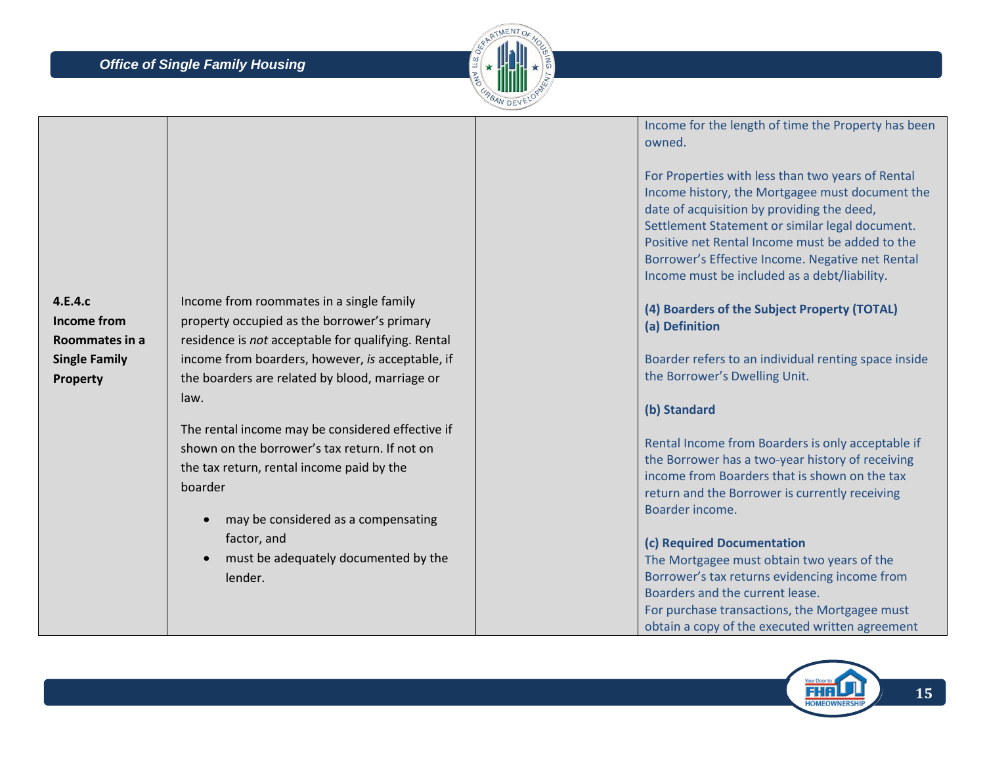

|                                          |                                                                                                                                                                                                               | Income for the length of time the Property has been<br>owned.                                                                                                                                                                                                                                                                                                |
|------------------------------------------|---------------------------------------------------------------------------------------------------------------------------------------------------------------------------------------------------------------|--------------------------------------------------------------------------------------------------------------------------------------------------------------------------------------------------------------------------------------------------------------------------------------------------------------------------------------------------------------|
|                                          |                                                                                                                                                                                                               | For Properties with less than two years of Rental<br>Income history, the Mortgagee must document the<br>date of acquisition by providing the deed,<br>Settlement Statement or similar legal document.<br>Positive net Rental Income must be added to the<br>Borrower's Effective Income. Negative net Rental<br>Income must be included as a debt/liability. |
| 4.E.4.c<br>Income from<br>Roommates in a | Income from roommates in a single family<br>property occupied as the borrower's primary<br>residence is not acceptable for qualifying. Rental                                                                 | (4) Boarders of the Subject Property (TOTAL)<br>(a) Definition                                                                                                                                                                                                                                                                                               |
| <b>Single Family</b><br>Property         | income from boarders, however, is acceptable, if<br>the boarders are related by blood, marriage or<br>law.                                                                                                    | Boarder refers to an individual renting space inside<br>the Borrower's Dwelling Unit.                                                                                                                                                                                                                                                                        |
|                                          |                                                                                                                                                                                                               | (b) Standard                                                                                                                                                                                                                                                                                                                                                 |
|                                          | The rental income may be considered effective if<br>shown on the borrower's tax return. If not on<br>the tax return, rental income paid by the<br>boarder<br>may be considered as a compensating<br>$\bullet$ | Rental Income from Boarders is only acceptable if<br>the Borrower has a two-year history of receiving<br>income from Boarders that is shown on the tax<br>return and the Borrower is currently receiving<br>Boarder income.                                                                                                                                  |
|                                          | factor, and                                                                                                                                                                                                   | (c) Required Documentation                                                                                                                                                                                                                                                                                                                                   |
|                                          | must be adequately documented by the<br>$\bullet$<br>lender.                                                                                                                                                  | The Mortgagee must obtain two years of the<br>Borrower's tax returns evidencing income from                                                                                                                                                                                                                                                                  |
|                                          |                                                                                                                                                                                                               | Boarders and the current lease.                                                                                                                                                                                                                                                                                                                              |
|                                          |                                                                                                                                                                                                               | For purchase transactions, the Mortgagee must                                                                                                                                                                                                                                                                                                                |
|                                          |                                                                                                                                                                                                               | obtain a copy of the executed written agreement                                                                                                                                                                                                                                                                                                              |

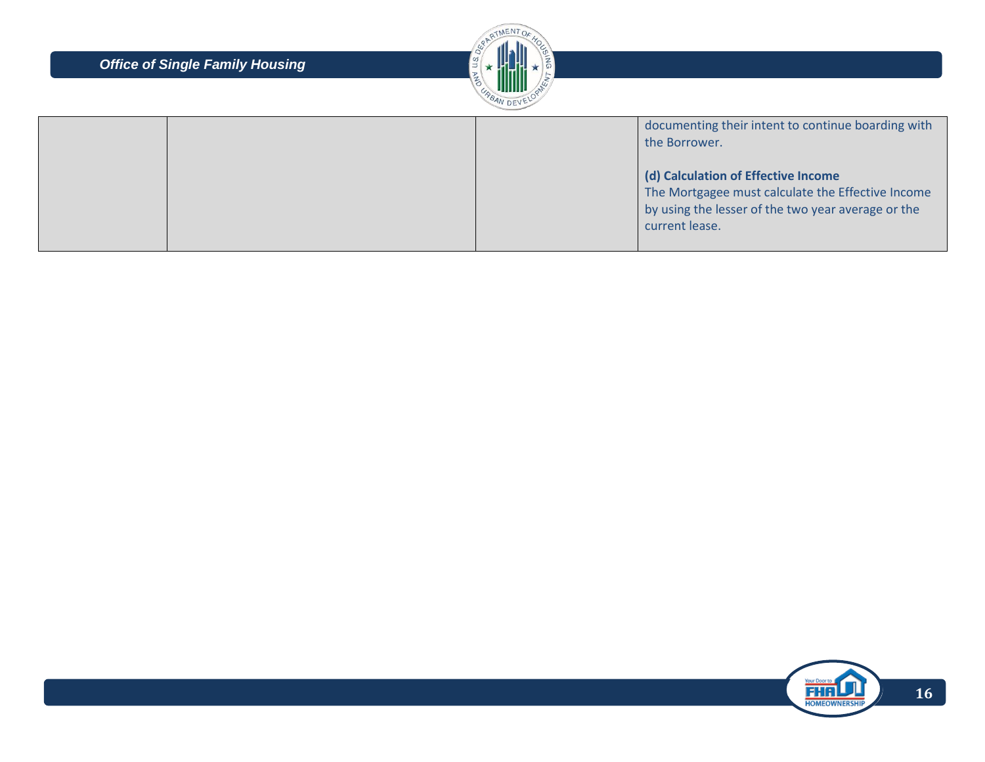

|  | documenting their intent to continue boarding with<br>the Borrower.                                                                                              |
|--|------------------------------------------------------------------------------------------------------------------------------------------------------------------|
|  | (d) Calculation of Effective Income<br>The Mortgagee must calculate the Effective Income<br>by using the lesser of the two year average or the<br>current lease. |

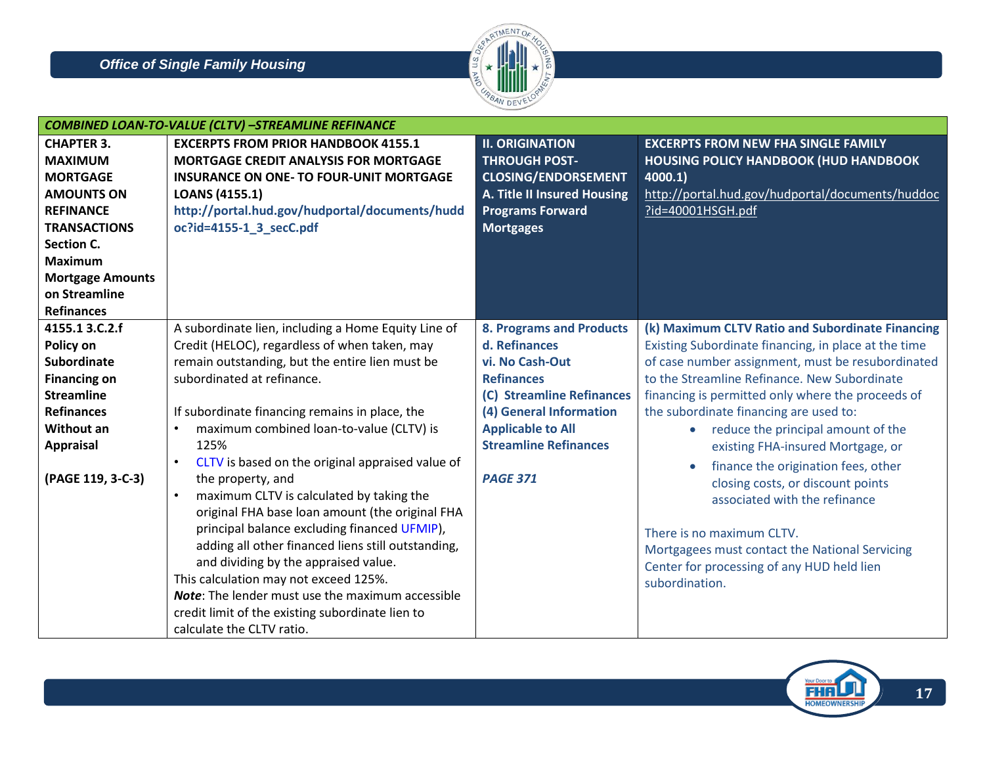

|                         | <b>COMBINED LOAN-TO-VALUE (CLTV) -STREAMLINE REFINANCE</b>                         |                                 |                                                                    |
|-------------------------|------------------------------------------------------------------------------------|---------------------------------|--------------------------------------------------------------------|
| <b>CHAPTER 3.</b>       | <b>EXCERPTS FROM PRIOR HANDBOOK 4155.1</b>                                         | <b>II. ORIGINATION</b>          | <b>EXCERPTS FROM NEW FHA SINGLE FAMILY</b>                         |
| <b>MAXIMUM</b>          | <b>MORTGAGE CREDIT ANALYSIS FOR MORTGAGE</b>                                       | <b>THROUGH POST-</b>            | <b>HOUSING POLICY HANDBOOK (HUD HANDBOOK</b>                       |
| <b>MORTGAGE</b>         | <b>INSURANCE ON ONE- TO FOUR-UNIT MORTGAGE</b>                                     | <b>CLOSING/ENDORSEMENT</b>      | 4000.1)                                                            |
| <b>AMOUNTS ON</b>       | LOANS (4155.1)                                                                     | A. Title II Insured Housing     | http://portal.hud.gov/hudportal/documents/huddoc                   |
| <b>REFINANCE</b>        | http://portal.hud.gov/hudportal/documents/hudd                                     | <b>Programs Forward</b>         | ?id=40001HSGH.pdf                                                  |
| <b>TRANSACTIONS</b>     | oc?id=4155-1_3_secC.pdf                                                            | <b>Mortgages</b>                |                                                                    |
| Section C.              |                                                                                    |                                 |                                                                    |
| <b>Maximum</b>          |                                                                                    |                                 |                                                                    |
| <b>Mortgage Amounts</b> |                                                                                    |                                 |                                                                    |
| on Streamline           |                                                                                    |                                 |                                                                    |
| <b>Refinances</b>       |                                                                                    |                                 |                                                                    |
| 4155.1 3.C.2.f          | A subordinate lien, including a Home Equity Line of                                | <b>8. Programs and Products</b> | (k) Maximum CLTV Ratio and Subordinate Financing                   |
| Policy on               | Credit (HELOC), regardless of when taken, may                                      | d. Refinances                   | Existing Subordinate financing, in place at the time               |
| <b>Subordinate</b>      | remain outstanding, but the entire lien must be                                    | vi. No Cash-Out                 | of case number assignment, must be resubordinated                  |
| <b>Financing on</b>     | subordinated at refinance.                                                         | <b>Refinances</b>               | to the Streamline Refinance. New Subordinate                       |
| <b>Streamline</b>       |                                                                                    | (C) Streamline Refinances       | financing is permitted only where the proceeds of                  |
| <b>Refinances</b>       | If subordinate financing remains in place, the                                     | (4) General Information         | the subordinate financing are used to:                             |
| <b>Without an</b>       | maximum combined loan-to-value (CLTV) is<br>$\bullet$                              | <b>Applicable to All</b>        | reduce the principal amount of the                                 |
| <b>Appraisal</b>        | 125%                                                                               | <b>Streamline Refinances</b>    | existing FHA-insured Mortgage, or                                  |
| (PAGE 119, 3-C-3)       | CLTV is based on the original appraised value of<br>$\bullet$<br>the property, and | <b>PAGE 371</b>                 | finance the origination fees, other                                |
|                         | maximum CLTV is calculated by taking the<br>$\bullet$                              |                                 | closing costs, or discount points<br>associated with the refinance |
|                         | original FHA base loan amount (the original FHA                                    |                                 |                                                                    |
|                         | principal balance excluding financed UFMIP),                                       |                                 |                                                                    |
|                         | adding all other financed liens still outstanding,                                 |                                 | There is no maximum CLTV.                                          |
|                         | and dividing by the appraised value.                                               |                                 | Mortgagees must contact the National Servicing                     |
|                         | This calculation may not exceed 125%.                                              |                                 | Center for processing of any HUD held lien                         |
|                         | Note: The lender must use the maximum accessible                                   |                                 | subordination.                                                     |
|                         | credit limit of the existing subordinate lien to                                   |                                 |                                                                    |
|                         | calculate the CLTV ratio.                                                          |                                 |                                                                    |

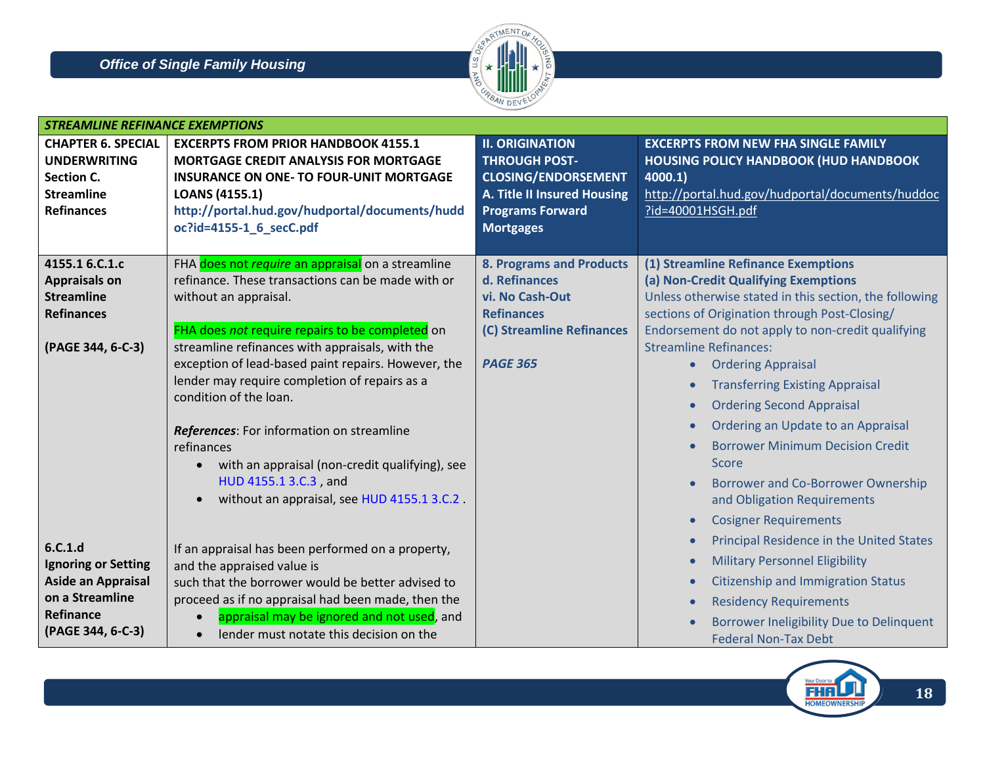

| <b>STREAMLINE REFINANCE EXEMPTIONS</b>                                                                           |                                                                                                                                                                                                                                                                                                                                                                                                                                                                                                                                                                                        |                                                                                                                                                                   |                                                                                                                                                                                                                                                                                                                                                                                                                                                                                                                                                                                                     |
|------------------------------------------------------------------------------------------------------------------|----------------------------------------------------------------------------------------------------------------------------------------------------------------------------------------------------------------------------------------------------------------------------------------------------------------------------------------------------------------------------------------------------------------------------------------------------------------------------------------------------------------------------------------------------------------------------------------|-------------------------------------------------------------------------------------------------------------------------------------------------------------------|-----------------------------------------------------------------------------------------------------------------------------------------------------------------------------------------------------------------------------------------------------------------------------------------------------------------------------------------------------------------------------------------------------------------------------------------------------------------------------------------------------------------------------------------------------------------------------------------------------|
| <b>CHAPTER 6. SPECIAL</b><br><b>UNDERWRITING</b><br>Section C.<br><b>Streamline</b><br><b>Refinances</b>         | <b>EXCERPTS FROM PRIOR HANDBOOK 4155.1</b><br><b>MORTGAGE CREDIT ANALYSIS FOR MORTGAGE</b><br><b>INSURANCE ON ONE- TO FOUR-UNIT MORTGAGE</b><br><b>LOANS (4155.1)</b><br>http://portal.hud.gov/hudportal/documents/hudd<br>oc?id=4155-1_6_secC.pdf                                                                                                                                                                                                                                                                                                                                     | <b>II. ORIGINATION</b><br><b>THROUGH POST-</b><br><b>CLOSING/ENDORSEMENT</b><br><b>A. Title II Insured Housing</b><br><b>Programs Forward</b><br><b>Mortgages</b> | <b>EXCERPTS FROM NEW FHA SINGLE FAMILY</b><br><b>HOUSING POLICY HANDBOOK (HUD HANDBOOK</b><br>4000.1)<br>http://portal.hud.gov/hudportal/documents/huddoc<br>?id=40001HSGH.pdf                                                                                                                                                                                                                                                                                                                                                                                                                      |
| 4155.1 6.C.1.c<br><b>Appraisals on</b><br><b>Streamline</b><br><b>Refinances</b><br>(PAGE 344, 6-C-3)            | FHA does not require an appraisal on a streamline<br>refinance. These transactions can be made with or<br>without an appraisal.<br>FHA does not require repairs to be completed on<br>streamline refinances with appraisals, with the<br>exception of lead-based paint repairs. However, the<br>lender may require completion of repairs as a<br>condition of the loan.<br>References: For information on streamline<br>refinances<br>with an appraisal (non-credit qualifying), see<br>$\bullet$<br>HUD 4155.1 3.C.3, and<br>without an appraisal, see HUD 4155.1 3.C.2.<br>$\bullet$ | <b>8. Programs and Products</b><br>d. Refinances<br>vi. No Cash-Out<br><b>Refinances</b><br>(C) Streamline Refinances<br><b>PAGE 365</b>                          | (1) Streamline Refinance Exemptions<br>(a) Non-Credit Qualifying Exemptions<br>Unless otherwise stated in this section, the following<br>sections of Origination through Post-Closing/<br>Endorsement do not apply to non-credit qualifying<br><b>Streamline Refinances:</b><br><b>Ordering Appraisal</b><br>$\bullet$<br><b>Transferring Existing Appraisal</b><br><b>Ordering Second Appraisal</b><br>Ordering an Update to an Appraisal<br><b>Borrower Minimum Decision Credit</b><br>Score<br>Borrower and Co-Borrower Ownership<br>and Obligation Requirements<br><b>Cosigner Requirements</b> |
| 6.C.1.d<br><b>Ignoring or Setting</b><br>Aside an Appraisal<br>on a Streamline<br>Refinance<br>(PAGE 344, 6-C-3) | If an appraisal has been performed on a property,<br>and the appraised value is<br>such that the borrower would be better advised to<br>proceed as if no appraisal had been made, then the<br>appraisal may be ignored and not used, and<br>lender must notate this decision on the<br>$\bullet$                                                                                                                                                                                                                                                                                       |                                                                                                                                                                   | Principal Residence in the United States<br><b>Military Personnel Eligibility</b><br><b>Citizenship and Immigration Status</b><br><b>Residency Requirements</b><br>Borrower Ineligibility Due to Delinquent<br><b>Federal Non-Tax Debt</b>                                                                                                                                                                                                                                                                                                                                                          |

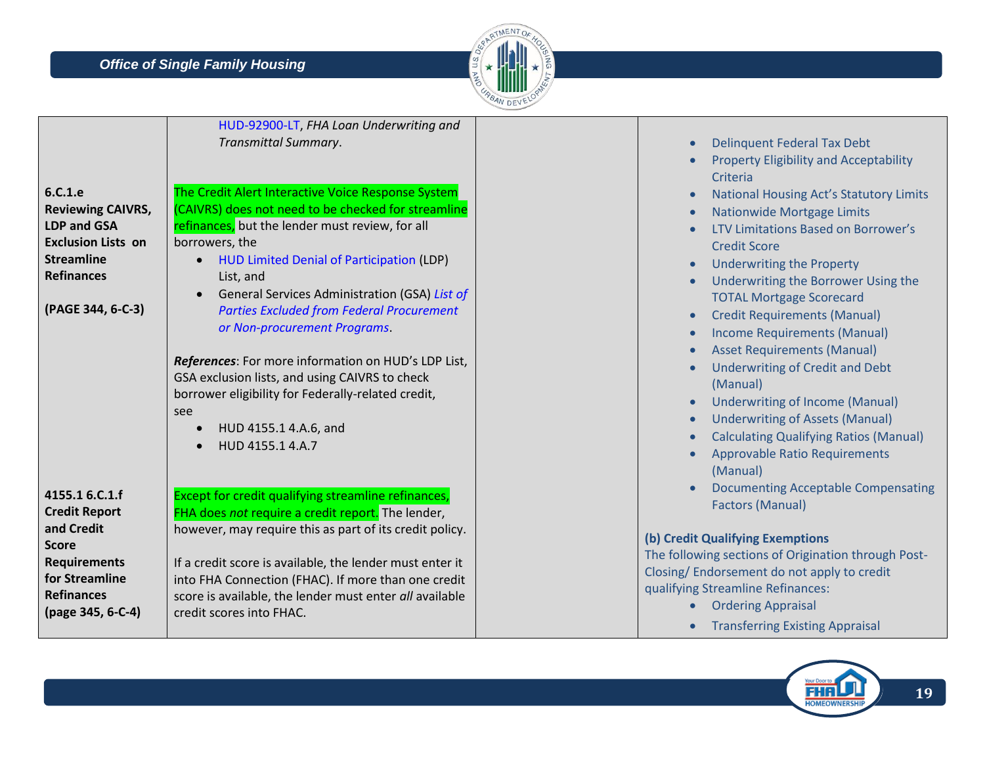

| 6.C.1.e<br><b>Reviewing CAIVRS,</b><br><b>LDP and GSA</b><br><b>Exclusion Lists on</b><br><b>Streamline</b><br><b>Refinances</b><br>(PAGE 344, 6-C-3)   | HUD-92900-LT, FHA Loan Underwriting and<br>Transmittal Summary.<br>The Credit Alert Interactive Voice Response System<br>(CAIVRS) does not need to be checked for streamline<br>refinances, but the lender must review, for all<br>borrowers, the<br>HUD Limited Denial of Participation (LDP)<br>List, and<br>General Services Administration (GSA) List of<br><b>Parties Excluded from Federal Procurement</b><br>or Non-procurement Programs.<br>References: For more information on HUD's LDP List,<br>GSA exclusion lists, and using CAIVRS to check<br>borrower eligibility for Federally-related credit,<br>see<br>HUD 4155.1 4.A.6, and<br>HUD 4155.1 4.A.7 | <b>Delinquent Federal Tax Debt</b><br><b>Property Eligibility and Acceptability</b><br>Criteria<br><b>National Housing Act's Statutory Limits</b><br>$\bullet$<br><b>Nationwide Mortgage Limits</b><br>LTV Limitations Based on Borrower's<br><b>Credit Score</b><br><b>Underwriting the Property</b><br>$\bullet$<br>Underwriting the Borrower Using the<br><b>TOTAL Mortgage Scorecard</b><br><b>Credit Requirements (Manual)</b><br>$\bullet$<br><b>Income Requirements (Manual)</b><br>$\bullet$<br><b>Asset Requirements (Manual)</b><br><b>Underwriting of Credit and Debt</b><br>(Manual)<br><b>Underwriting of Income (Manual)</b><br>$\bullet$<br><b>Underwriting of Assets (Manual)</b><br>$\bullet$<br><b>Calculating Qualifying Ratios (Manual)</b><br><b>Approvable Ratio Requirements</b><br>(Manual) |
|---------------------------------------------------------------------------------------------------------------------------------------------------------|---------------------------------------------------------------------------------------------------------------------------------------------------------------------------------------------------------------------------------------------------------------------------------------------------------------------------------------------------------------------------------------------------------------------------------------------------------------------------------------------------------------------------------------------------------------------------------------------------------------------------------------------------------------------|---------------------------------------------------------------------------------------------------------------------------------------------------------------------------------------------------------------------------------------------------------------------------------------------------------------------------------------------------------------------------------------------------------------------------------------------------------------------------------------------------------------------------------------------------------------------------------------------------------------------------------------------------------------------------------------------------------------------------------------------------------------------------------------------------------------------|
| 4155.1 6.C.1.f<br><b>Credit Report</b><br>and Credit<br><b>Score</b><br><b>Requirements</b><br>for Streamline<br><b>Refinances</b><br>(page 345, 6-C-4) | Except for credit qualifying streamline refinances,<br>FHA does not require a credit report. The lender,<br>however, may require this as part of its credit policy.<br>If a credit score is available, the lender must enter it<br>into FHA Connection (FHAC). If more than one credit<br>score is available, the lender must enter all available<br>credit scores into FHAC.                                                                                                                                                                                                                                                                                       | <b>Documenting Acceptable Compensating</b><br><b>Factors (Manual)</b><br>(b) Credit Qualifying Exemptions<br>The following sections of Origination through Post-<br>Closing/ Endorsement do not apply to credit<br>qualifying Streamline Refinances:<br><b>Ordering Appraisal</b><br><b>Transferring Existing Appraisal</b>                                                                                                                                                                                                                                                                                                                                                                                                                                                                                         |

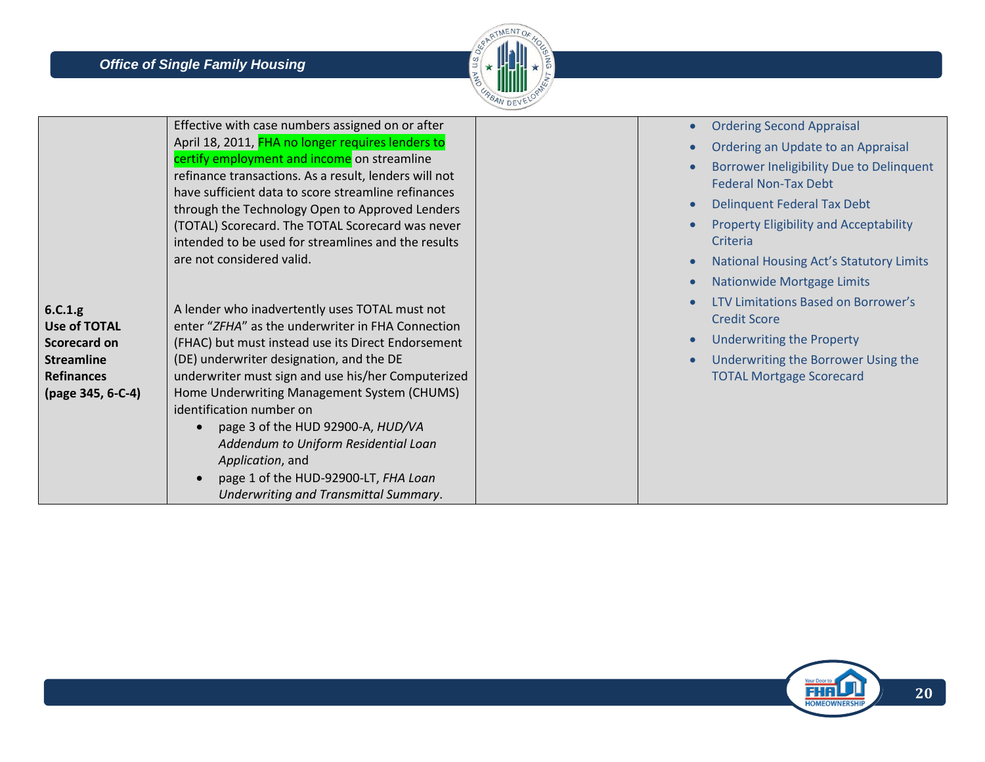

|                                                                                                               | Effective with case numbers assigned on or after<br>April 18, 2011, FHA no longer requires lenders to<br>certify employment and income on streamline<br>refinance transactions. As a result, lenders will not<br>have sufficient data to score streamline refinances<br>through the Technology Open to Approved Lenders<br>(TOTAL) Scorecard. The TOTAL Scorecard was never<br>intended to be used for streamlines and the results<br>are not considered valid.                                                                       | <b>Ordering Second Appraisal</b><br>Ordering an Update to an Appraisal<br>Borrower Ineligibility Due to Delinquent<br><b>Federal Non-Tax Debt</b><br>Delinquent Federal Tax Debt<br><b>Property Eligibility and Acceptability</b><br>Criteria<br><b>National Housing Act's Statutory Limits</b><br><b>Nationwide Mortgage Limits</b> |
|---------------------------------------------------------------------------------------------------------------|---------------------------------------------------------------------------------------------------------------------------------------------------------------------------------------------------------------------------------------------------------------------------------------------------------------------------------------------------------------------------------------------------------------------------------------------------------------------------------------------------------------------------------------|--------------------------------------------------------------------------------------------------------------------------------------------------------------------------------------------------------------------------------------------------------------------------------------------------------------------------------------|
| 6.C.1.g<br><b>Use of TOTAL</b><br>Scorecard on<br><b>Streamline</b><br><b>Refinances</b><br>(page 345, 6-C-4) | A lender who inadvertently uses TOTAL must not<br>enter "ZFHA" as the underwriter in FHA Connection<br>(FHAC) but must instead use its Direct Endorsement<br>(DE) underwriter designation, and the DE<br>underwriter must sign and use his/her Computerized<br>Home Underwriting Management System (CHUMS)<br>identification number on<br>page 3 of the HUD 92900-A, HUD/VA<br>Addendum to Uniform Residential Loan<br>Application, and<br>page 1 of the HUD-92900-LT, FHA Loan<br>$\bullet$<br>Underwriting and Transmittal Summary. | LTV Limitations Based on Borrower's<br><b>Credit Score</b><br><b>Underwriting the Property</b><br>Underwriting the Borrower Using the<br><b>TOTAL Mortgage Scorecard</b>                                                                                                                                                             |

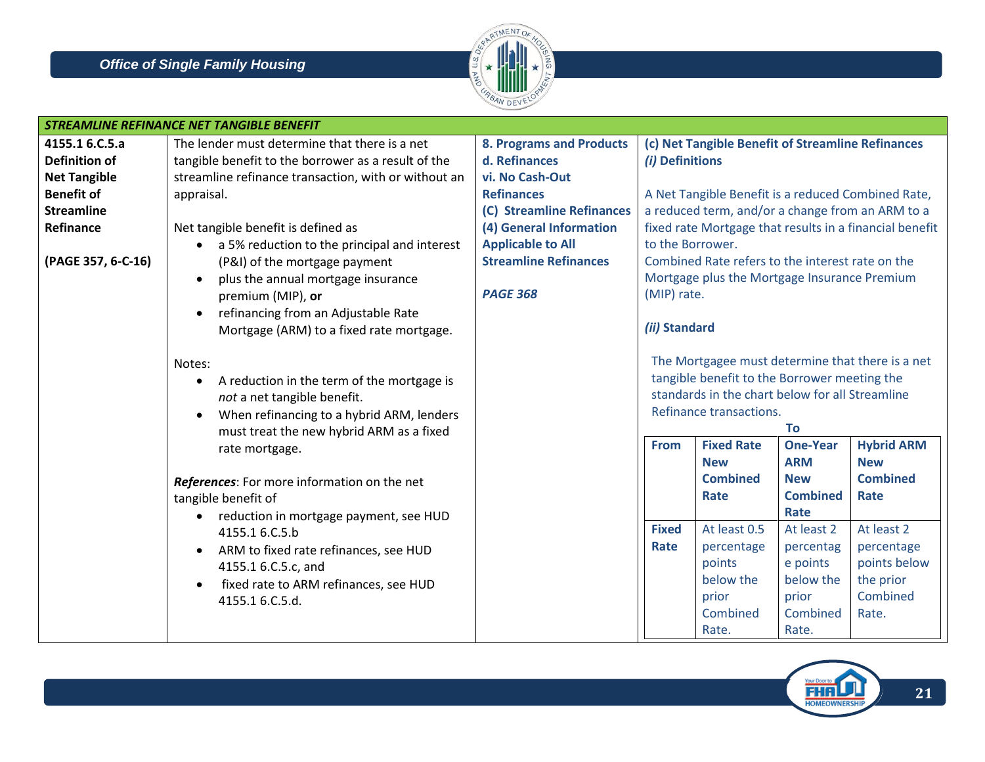

|                      | <b>STREAMLINE REFINANCE NET TANGIBLE BENEFIT</b>          |                                 |                  |                                                    |                 |                                                         |
|----------------------|-----------------------------------------------------------|---------------------------------|------------------|----------------------------------------------------|-----------------|---------------------------------------------------------|
| 4155.1 6.C.5.a       | The lender must determine that there is a net             | <b>8. Programs and Products</b> |                  | (c) Net Tangible Benefit of Streamline Refinances  |                 |                                                         |
| <b>Definition of</b> | tangible benefit to the borrower as a result of the       | d. Refinances                   | (i) Definitions  |                                                    |                 |                                                         |
| <b>Net Tangible</b>  | streamline refinance transaction, with or without an      | vi. No Cash-Out                 |                  |                                                    |                 |                                                         |
| <b>Benefit of</b>    | appraisal.                                                | <b>Refinances</b>               |                  | A Net Tangible Benefit is a reduced Combined Rate, |                 |                                                         |
| <b>Streamline</b>    |                                                           | (C) Streamline Refinances       |                  | a reduced term, and/or a change from an ARM to a   |                 |                                                         |
| Refinance            | Net tangible benefit is defined as                        | (4) General Information         |                  |                                                    |                 | fixed rate Mortgage that results in a financial benefit |
|                      | a 5% reduction to the principal and interest<br>$\bullet$ | <b>Applicable to All</b>        | to the Borrower. |                                                    |                 |                                                         |
| (PAGE 357, 6-C-16)   | (P&I) of the mortgage payment                             | <b>Streamline Refinances</b>    |                  | Combined Rate refers to the interest rate on the   |                 |                                                         |
|                      | plus the annual mortgage insurance                        |                                 |                  | Mortgage plus the Mortgage Insurance Premium       |                 |                                                         |
|                      | premium (MIP), or                                         | <b>PAGE 368</b>                 | (MIP) rate.      |                                                    |                 |                                                         |
|                      | refinancing from an Adjustable Rate<br>$\bullet$          |                                 |                  |                                                    |                 |                                                         |
|                      | Mortgage (ARM) to a fixed rate mortgage.                  |                                 | (ii) Standard    |                                                    |                 |                                                         |
|                      |                                                           |                                 |                  |                                                    |                 |                                                         |
|                      | Notes:                                                    |                                 |                  |                                                    |                 | The Mortgagee must determine that there is a net        |
|                      | A reduction in the term of the mortgage is<br>$\bullet$   |                                 |                  | tangible benefit to the Borrower meeting the       |                 |                                                         |
|                      | not a net tangible benefit.                               |                                 |                  | standards in the chart below for all Streamline    |                 |                                                         |
|                      | When refinancing to a hybrid ARM, lenders                 |                                 |                  | Refinance transactions.                            |                 |                                                         |
|                      | must treat the new hybrid ARM as a fixed                  |                                 |                  |                                                    | <b>To</b>       |                                                         |
|                      | rate mortgage.                                            |                                 | <b>From</b>      | <b>Fixed Rate</b>                                  | <b>One-Year</b> | <b>Hybrid ARM</b>                                       |
|                      |                                                           |                                 |                  | <b>New</b>                                         | <b>ARM</b>      | <b>New</b>                                              |
|                      | References: For more information on the net               |                                 |                  | <b>Combined</b>                                    | <b>New</b>      | <b>Combined</b>                                         |
|                      | tangible benefit of                                       |                                 |                  | Rate                                               | <b>Combined</b> | Rate                                                    |
|                      | reduction in mortgage payment, see HUD<br>$\bullet$       |                                 |                  |                                                    | Rate            |                                                         |
|                      | 4155.1 6.C.5.b                                            |                                 | <b>Fixed</b>     | At least 0.5                                       | At least 2      | At least 2                                              |
|                      | ARM to fixed rate refinances, see HUD<br>$\bullet$        |                                 | Rate             | percentage                                         | percentag       | percentage                                              |
|                      | 4155.1 6.C.5.c, and                                       |                                 |                  | points                                             | e points        | points below                                            |
|                      | fixed rate to ARM refinances, see HUD                     |                                 |                  | below the                                          | below the       | the prior                                               |
|                      | 4155.1 6.C.5.d.                                           |                                 |                  | prior                                              | prior           | Combined                                                |
|                      |                                                           |                                 |                  | Combined                                           | Combined        | Rate.                                                   |
|                      |                                                           |                                 |                  | Rate.                                              | Rate.           |                                                         |

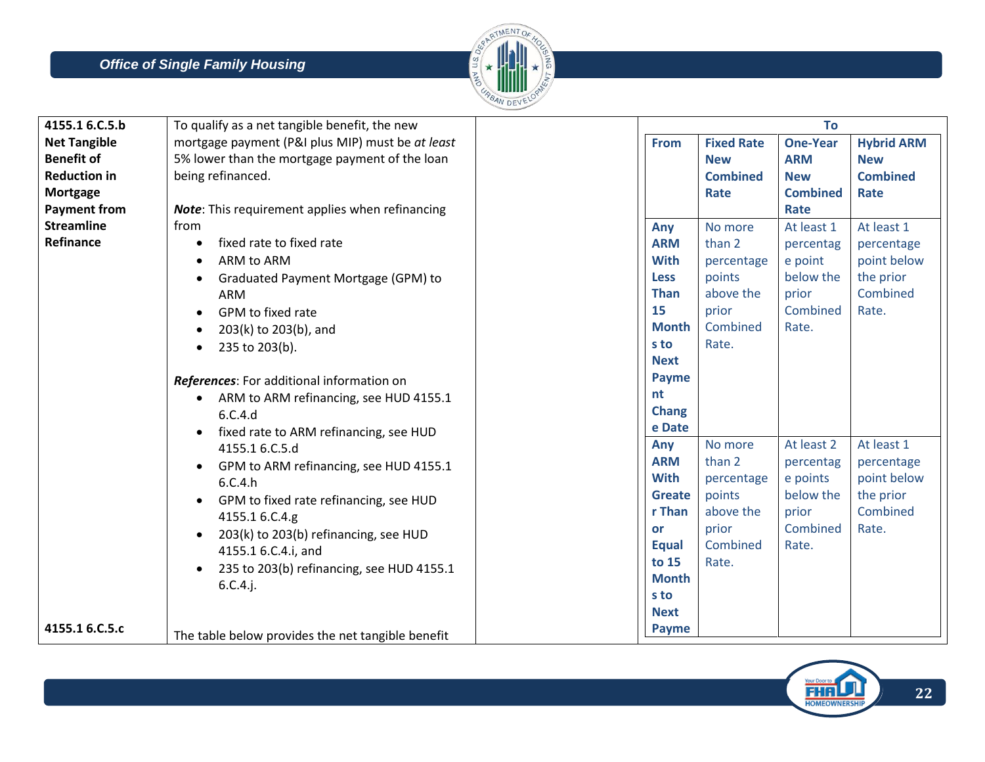

| 4155.1 6.C.5.b      | To qualify as a net tangible benefit, the new       |               |                   | To              |                   |
|---------------------|-----------------------------------------------------|---------------|-------------------|-----------------|-------------------|
| <b>Net Tangible</b> | mortgage payment (P&I plus MIP) must be at least    | <b>From</b>   | <b>Fixed Rate</b> | <b>One-Year</b> | <b>Hybrid ARM</b> |
| <b>Benefit of</b>   | 5% lower than the mortgage payment of the loan      |               | <b>New</b>        | <b>ARM</b>      | <b>New</b>        |
| <b>Reduction in</b> | being refinanced.                                   |               | <b>Combined</b>   | <b>New</b>      | <b>Combined</b>   |
| <b>Mortgage</b>     |                                                     |               | Rate              | <b>Combined</b> | Rate              |
| <b>Payment from</b> | Note: This requirement applies when refinancing     |               |                   | Rate            |                   |
| <b>Streamline</b>   | from                                                | Any           | No more           | At least 1      | At least 1        |
| Refinance           | fixed rate to fixed rate<br>$\bullet$               | <b>ARM</b>    | than 2            | percentag       | percentage        |
|                     | ARM to ARM<br>$\bullet$                             | <b>With</b>   | percentage        | e point         | point below       |
|                     | Graduated Payment Mortgage (GPM) to<br>$\bullet$    | <b>Less</b>   | points            | below the       | the prior         |
|                     | ARM                                                 | <b>Than</b>   | above the         | prior           | Combined          |
|                     | GPM to fixed rate<br>$\bullet$                      | 15            | prior             | Combined        | Rate.             |
|                     | 203(k) to 203(b), and<br>$\bullet$                  | <b>Month</b>  | Combined          | Rate.           |                   |
|                     | 235 to 203(b).<br>$\bullet$                         | s to          | Rate.             |                 |                   |
|                     |                                                     | <b>Next</b>   |                   |                 |                   |
|                     | References: For additional information on           | <b>Payme</b>  |                   |                 |                   |
|                     | ARM to ARM refinancing, see HUD 4155.1<br>$\bullet$ | nt            |                   |                 |                   |
|                     | 6.C.4.d                                             | Chang         |                   |                 |                   |
|                     | fixed rate to ARM refinancing, see HUD              | e Date        |                   |                 |                   |
|                     | 4155.1 6.C.5.d                                      | Any           | No more           | At least 2      | At least 1        |
|                     | GPM to ARM refinancing, see HUD 4155.1<br>$\bullet$ | <b>ARM</b>    | than 2            | percentag       | percentage        |
|                     | 6.C.4.h                                             | <b>With</b>   | percentage        | e points        | point below       |
|                     | GPM to fixed rate refinancing, see HUD<br>$\bullet$ | <b>Greate</b> | points            | below the       | the prior         |
|                     | 4155.1 6.C.4.g                                      | r Than        | above the         | prior           | Combined          |
|                     | 203(k) to 203(b) refinancing, see HUD<br>$\bullet$  | <b>or</b>     | prior             | Combined        | Rate.             |
|                     | 4155.1 6.C.4.i, and                                 | <b>Equal</b>  | Combined          | Rate.           |                   |
|                     | 235 to 203(b) refinancing, see HUD 4155.1           | to 15         | Rate.             |                 |                   |
|                     | $6.C.4.$ j.                                         | <b>Month</b>  |                   |                 |                   |
|                     |                                                     | s to          |                   |                 |                   |
|                     |                                                     | <b>Next</b>   |                   |                 |                   |
| 4155.1 6.C.5.c      | The table below provides the net tangible benefit   | <b>Payme</b>  |                   |                 |                   |

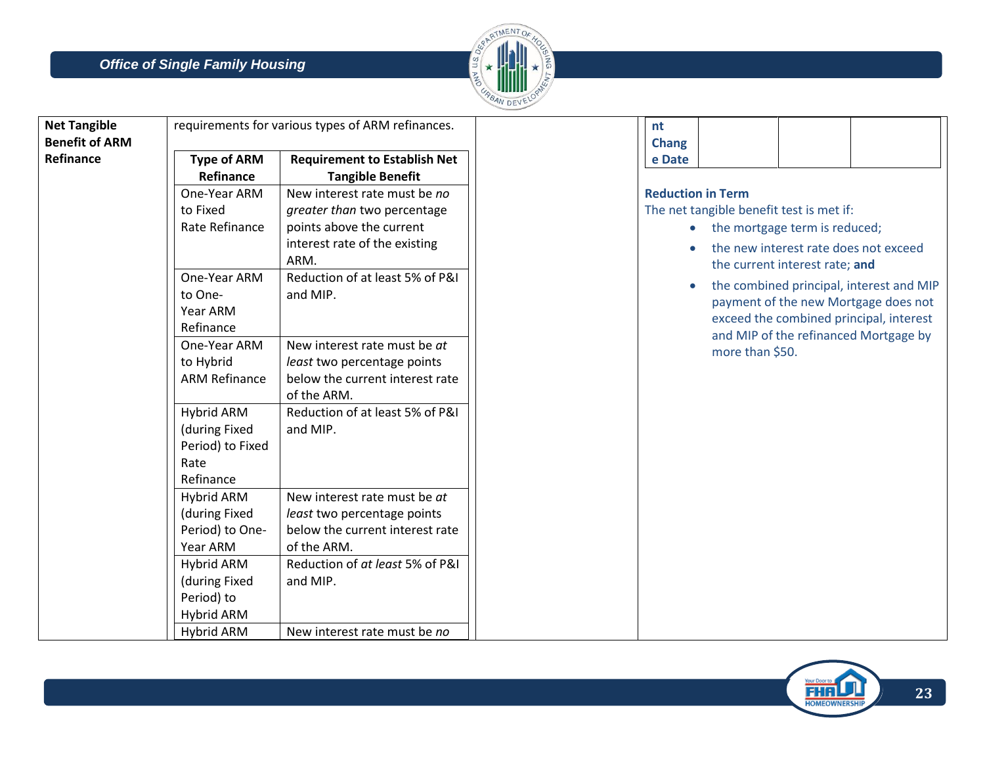

| <b>Net Tangible</b>   |                             | requirements for various types of ARM refinances.              | nt           |                                          |                                |                                          |
|-----------------------|-----------------------------|----------------------------------------------------------------|--------------|------------------------------------------|--------------------------------|------------------------------------------|
| <b>Benefit of ARM</b> |                             |                                                                | <b>Chang</b> |                                          |                                |                                          |
| Refinance             | <b>Type of ARM</b>          | <b>Requirement to Establish Net</b>                            | e Date       |                                          |                                |                                          |
|                       | Refinance                   | <b>Tangible Benefit</b>                                        |              |                                          |                                |                                          |
|                       | One-Year ARM                | New interest rate must be no                                   |              | <b>Reduction in Term</b>                 |                                |                                          |
|                       | to Fixed                    | greater than two percentage                                    |              | The net tangible benefit test is met if: |                                |                                          |
|                       | Rate Refinance              | points above the current                                       |              | the mortgage term is reduced;            |                                |                                          |
|                       |                             | interest rate of the existing                                  |              |                                          |                                | the new interest rate does not exceed    |
|                       |                             | ARM.                                                           |              |                                          | the current interest rate; and |                                          |
|                       | One-Year ARM                | Reduction of at least 5% of P&I                                |              |                                          |                                | the combined principal, interest and MIP |
|                       | to One-                     | and MIP.                                                       |              |                                          |                                | payment of the new Mortgage does not     |
|                       | Year ARM                    |                                                                |              |                                          |                                | exceed the combined principal, interest  |
|                       | Refinance                   |                                                                |              |                                          |                                | and MIP of the refinanced Mortgage by    |
|                       | One-Year ARM                | New interest rate must be at                                   |              | more than \$50.                          |                                |                                          |
|                       | to Hybrid                   | least two percentage points                                    |              |                                          |                                |                                          |
|                       | <b>ARM Refinance</b>        | below the current interest rate                                |              |                                          |                                |                                          |
|                       |                             | of the ARM.                                                    |              |                                          |                                |                                          |
|                       | Hybrid ARM                  | Reduction of at least 5% of P&I                                |              |                                          |                                |                                          |
|                       | (during Fixed               | and MIP.                                                       |              |                                          |                                |                                          |
|                       | Period) to Fixed            |                                                                |              |                                          |                                |                                          |
|                       | Rate                        |                                                                |              |                                          |                                |                                          |
|                       | Refinance                   |                                                                |              |                                          |                                |                                          |
|                       | Hybrid ARM                  | New interest rate must be at                                   |              |                                          |                                |                                          |
|                       | (during Fixed               | least two percentage points<br>below the current interest rate |              |                                          |                                |                                          |
|                       | Period) to One-<br>Year ARM | of the ARM.                                                    |              |                                          |                                |                                          |
|                       |                             | Reduction of at least 5% of P&I                                |              |                                          |                                |                                          |
|                       | Hybrid ARM<br>(during Fixed | and MIP.                                                       |              |                                          |                                |                                          |
|                       | Period) to                  |                                                                |              |                                          |                                |                                          |
|                       | Hybrid ARM                  |                                                                |              |                                          |                                |                                          |
|                       | <b>Hybrid ARM</b>           | New interest rate must be no                                   |              |                                          |                                |                                          |
|                       |                             |                                                                |              |                                          |                                |                                          |